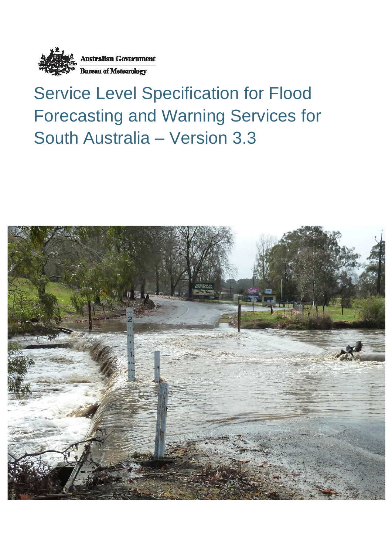

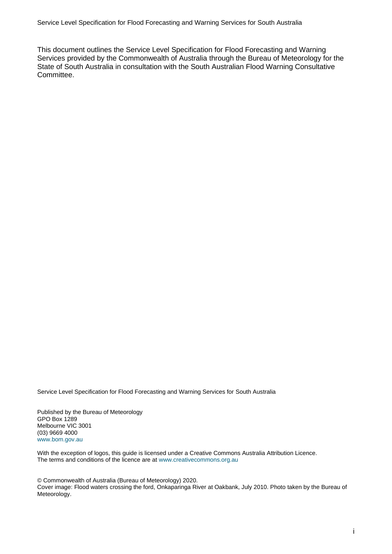This document outlines the Service Level Specification for Flood Forecasting and Warning Services provided by the Commonwealth of Australia through the Bureau of Meteorology for the State of South Australia in consultation with the South Australian Flood Warning Consultative Committee.

Service Level Specification for Flood Forecasting and Warning Services for South Australia

Published by the Bureau of Meteorology GPO Box 1289 Melbourne VIC 3001 (03) 9669 4000 www.bom.gov.au

With the exception of logos, this guide is licensed under a Creative Commons Australia Attribution Licence. The terms and conditions of the licence are at www.creativecommons.org.au

© Commonwealth of Australia (Bureau of Meteorology) 2020. Cover image: Flood waters crossing the ford, Onkaparinga River at Oakbank, July 2010. Photo taken by the Bureau of Meteorology.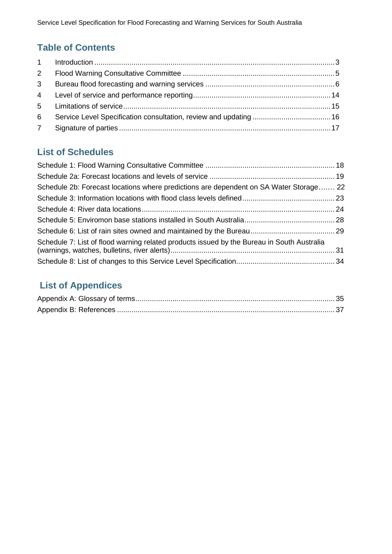# **Table of Contents**

| $2^{\circ}$ |  |
|-------------|--|
|             |  |
|             |  |
|             |  |
| 6           |  |
|             |  |

# **List of Schedules**

| Schedule 2b: Forecast locations where predictions are dependent on SA Water Storage 22     |  |
|--------------------------------------------------------------------------------------------|--|
|                                                                                            |  |
|                                                                                            |  |
|                                                                                            |  |
|                                                                                            |  |
| Schedule 7: List of flood warning related products issued by the Bureau in South Australia |  |
|                                                                                            |  |

# **List of Appendices**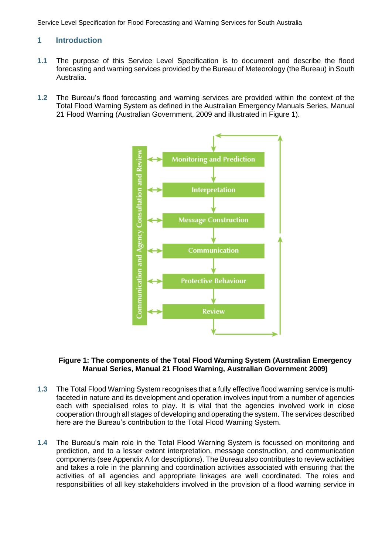# <span id="page-4-0"></span>**1 Introduction**

- **1.1** The purpose of this Service Level Specification is to document and describe the flood forecasting and warning services provided by the Bureau of Meteorology (the Bureau) in South Australia.
- **1.2** The Bureau's flood forecasting and warning services are provided within the context of the Total Flood Warning System as defined in the Australian Emergency Manuals Series, Manual 21 Flood Warning (Australian Government, 2009 and illustrated in Figure 1).



#### **Figure 1: The components of the Total Flood Warning System (Australian Emergency Manual Series, Manual 21 Flood Warning, Australian Government 2009)**

- **1.3** The Total Flood Warning System recognises that a fully effective flood warning service is multifaceted in nature and its development and operation involves input from a number of agencies each with specialised roles to play. It is vital that the agencies involved work in close cooperation through all stages of developing and operating the system. The services described here are the Bureau's contribution to the Total Flood Warning System.
- **1.4** The Bureau's main role in the Total Flood Warning System is focussed on monitoring and prediction, and to a lesser extent interpretation, message construction, and communication components (see Appendix A for descriptions). The Bureau also contributes to review activities and takes a role in the planning and coordination activities associated with ensuring that the activities of all agencies and appropriate linkages are well coordinated. The roles and responsibilities of all key stakeholders involved in the provision of a flood warning service in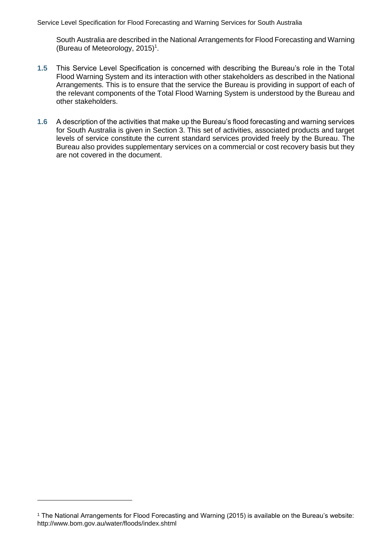South Australia are described in th[e National Arrangements for Flood Forecasting and Warning](http://www.bom.gov.au/water/floods/index.shtml) [\(Bureau of Meteorology, 2015\)](http://www.bom.gov.au/water/floods/index.shtml) 1 .

- **1.5** This Service Level Specification is concerned with describing the Bureau's role in the Total Flood Warning System and its interaction with other stakeholders as described in the National Arrangements. This is to ensure that the service the Bureau is providing in support of each of the relevant components of the Total Flood Warning System is understood by the Bureau and other stakeholders.
- **1.6** A description of the activities that make up the Bureau's flood forecasting and warning services for South Australia is given in Section 3. This set of activities, associated products and target levels of service constitute the current standard services provided freely by the Bureau. The Bureau also provides supplementary services on a commercial or cost recovery basis but they are not covered in the document.

<sup>1</sup> The National Arrangements for Flood Forecasting and Warning (2015) is available on the Bureau's website: http://www.bom.gov.au/water/floods/index.shtml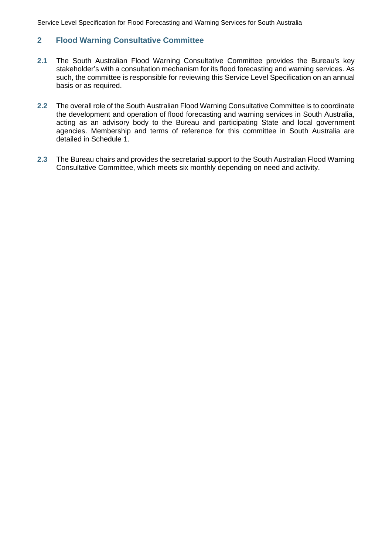# <span id="page-6-0"></span>**2 Flood Warning Consultative Committee**

- **2.1** The South Australian Flood Warning Consultative Committee provides the Bureau's key stakeholder's with a consultation mechanism for its flood forecasting and warning services. As such, the committee is responsible for reviewing this Service Level Specification on an annual basis or as required.
- **2.2** The overall role of the South Australian Flood Warning Consultative Committee is to coordinate the development and operation of flood forecasting and warning services in South Australia, acting as an advisory body to the Bureau and participating State and local government agencies. Membership and terms of reference for this committee in South Australia are detailed in Schedule 1.
- **2.3** The Bureau chairs and provides the secretariat support to the South Australian Flood Warning Consultative Committee, which meets six monthly depending on need and activity.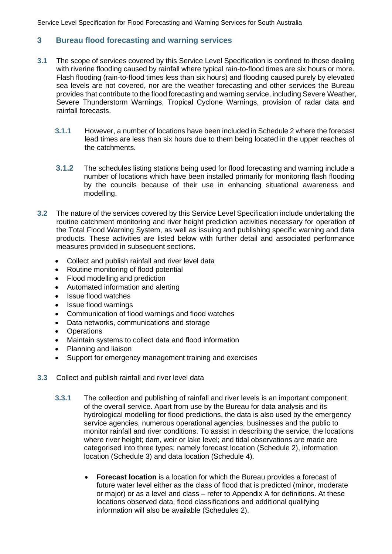# <span id="page-7-0"></span>**3 Bureau flood forecasting and warning services**

- **3.1** The scope of services covered by this Service Level Specification is confined to those dealing with riverine flooding caused by rainfall where typical rain-to-flood times are six hours or more. Flash flooding (rain-to-flood times less than six hours) and flooding caused purely by elevated sea levels are not covered, nor are the weather forecasting and other services the Bureau provides that contribute to the flood forecasting and warning service, including Severe Weather, Severe Thunderstorm Warnings, Tropical Cyclone Warnings, provision of radar data and rainfall forecasts.
	- **3.1.1** However, a number of locations have been included in Schedule 2 where the forecast lead times are less than six hours due to them being located in the upper reaches of the catchments.
	- **3.1.2** The schedules listing stations being used for flood forecasting and warning include a number of locations which have been installed primarily for monitoring flash flooding by the councils because of their use in enhancing situational awareness and modelling.
- **3.2** The nature of the services covered by this Service Level Specification include undertaking the routine catchment monitoring and river height prediction activities necessary for operation of the Total Flood Warning System, as well as issuing and publishing specific warning and data products. These activities are listed below with further detail and associated performance measures provided in subsequent sections.
	- Collect and publish rainfall and river level data
	- Routine monitoring of flood potential
	- Flood modelling and prediction
	- Automated information and alerting
	- Issue flood watches
	- Issue flood warnings
	- Communication of flood warnings and flood watches
	- Data networks, communications and storage
	- **Operations**
	- Maintain systems to collect data and flood information
	- Planning and liaison
	- Support for emergency management training and exercises
- **3.3** Collect and publish rainfall and river level data
	- **3.3.1** The collection and publishing of rainfall and river levels is an important component of the overall service. Apart from use by the Bureau for data analysis and its hydrological modelling for flood predictions, the data is also used by the emergency service agencies, numerous operational agencies, businesses and the public to monitor rainfall and river conditions. To assist in describing the service, the locations where river height; dam, weir or lake level; and tidal observations are made are categorised into three types; namely forecast location (Schedule 2), information location (Schedule 3) and data location (Schedule 4).
		- **Forecast location** is a location for which the Bureau provides a forecast of future water level either as the class of flood that is predicted (minor, moderate or major) or as a level and class – refer to Appendix A for definitions. At these locations observed data, flood classifications and additional qualifying information will also be available (Schedules 2).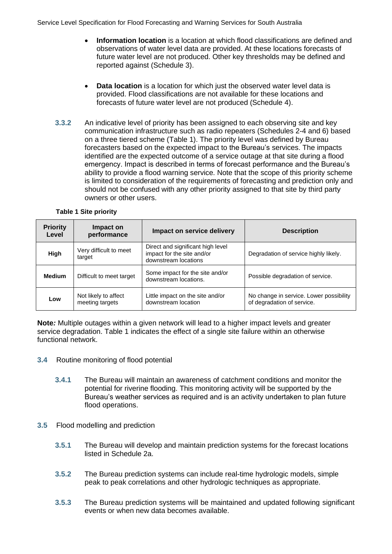- **Information location** is a location at which flood classifications are defined and observations of water level data are provided. At these locations forecasts of future water level are not produced. Other key thresholds may be defined and reported against (Schedule 3).
- **Data location** is a location for which just the observed water level data is provided. Flood classifications are not available for these locations and forecasts of future water level are not produced (Schedule 4).
- **3.3.2** An indicative level of priority has been assigned to each observing site and key communication infrastructure such as radio repeaters (Schedules 2-4 and 6) based on a three tiered scheme [\(Table 1\)](#page-8-0). The priority level was defined by Bureau forecasters based on the expected impact to the Bureau's services. The impacts identified are the expected outcome of a service outage at that site during a flood emergency. Impact is described in terms of forecast performance and the Bureau's ability to provide a flood warning service. Note that the scope of this priority scheme is limited to consideration of the requirements of forecasting and prediction only and should not be confused with any other priority assigned to that site by third party owners or other users.

<span id="page-8-0"></span>

| <b>Priority</b><br>Level | Impact on<br>performance                | Impact on service delivery                                                              | <b>Description</b>                                                    |  |  |
|--------------------------|-----------------------------------------|-----------------------------------------------------------------------------------------|-----------------------------------------------------------------------|--|--|
| High                     | Very difficult to meet<br>target        | Direct and significant high level<br>impact for the site and/or<br>downstream locations | Degradation of service highly likely.                                 |  |  |
| <b>Medium</b>            | Difficult to meet target                | Some impact for the site and/or<br>downstream locations.                                | Possible degradation of service.                                      |  |  |
| Low                      | Not likely to affect<br>meeting targets | Little impact on the site and/or<br>downstream location                                 | No change in service. Lower possibility<br>of degradation of service. |  |  |

#### **Table 1 Site priority**

**Note***:* Multiple outages within a given network will lead to a higher impact levels and greater service degradation. Table 1 indicates the effect of a single site failure within an otherwise functional network.

- **3.4** Routine monitoring of flood potential
	- **3.4.1** The Bureau will maintain an awareness of catchment conditions and monitor the potential for riverine flooding. This monitoring activity will be supported by the Bureau's weather services as required and is an activity undertaken to plan future flood operations.
- **3.5** Flood modelling and prediction
	- **3.5.1** The Bureau will develop and maintain prediction systems for the forecast locations listed in Schedule 2a.
	- **3.5.2** The Bureau prediction systems can include real-time hydrologic models, simple peak to peak correlations and other hydrologic techniques as appropriate.
	- **3.5.3** The Bureau prediction systems will be maintained and updated following significant events or when new data becomes available.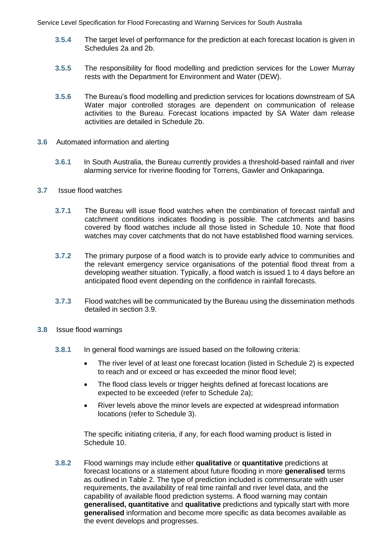- **3.5.4** The target level of performance for the prediction at each forecast location is given in Schedules 2a and 2b.
- **3.5.5** The responsibility for flood modelling and prediction services for the Lower Murray rests with the Department for Environment and Water (DEW).
- **3.5.6** The Bureau's flood modelling and prediction services for locations downstream of SA Water major controlled storages are dependent on communication of release activities to the Bureau. Forecast locations impacted by SA Water dam release activities are detailed in Schedule 2b.
- **3.6** Automated information and alerting
	- **3.6.1** In South Australia, the Bureau currently provides a threshold-based rainfall and river alarming service for riverine flooding for Torrens, Gawler and Onkaparinga.
- **3.7** Issue flood watches
	- **3.7.1** The Bureau will issue flood watches when the combination of forecast rainfall and catchment conditions indicates flooding is possible. The catchments and basins covered by flood watches include all those listed in Schedule 10. Note that flood watches may cover catchments that do not have established flood warning services.
	- **3.7.2** The primary purpose of a flood watch is to provide early advice to communities and the relevant emergency service organisations of the potential flood threat from a developing weather situation. Typically, a flood watch is issued 1 to 4 days before an anticipated flood event depending on the confidence in rainfall forecasts.
	- **3.7.3** Flood watches will be communicated by the Bureau using the dissemination methods detailed in section 3.9.
- **3.8** Issue flood warnings
	- **3.8.1** In general flood warnings are issued based on the following criteria:
		- The river level of at least one forecast location (listed in Schedule 2) is expected to reach and or exceed or has exceeded the minor flood level;
		- The flood class levels or trigger heights defined at forecast locations are expected to be exceeded (refer to Schedule 2a);
		- River levels above the minor levels are expected at widespread information locations (refer to Schedule 3).

The specific initiating criteria, if any, for each flood warning product is listed in Schedule 10.

**3.8.2** Flood warnings may include either **qualitative** or **quantitative** predictions at forecast locations or a statement about future flooding in more **generalised** terms as outlined in Table 2. The type of prediction included is commensurate with user requirements, the availability of real time rainfall and river level data, and the capability of available flood prediction systems. A flood warning may contain **generalised, quantitative** and **qualitative** predictions and typically start with more **generalised** information and become more specific as data becomes available as the event develops and progresses.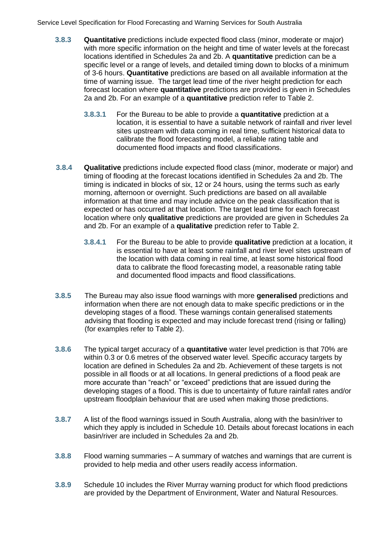- **3.8.3 Quantitative** predictions include expected flood class (minor, moderate or major) with more specific information on the height and time of water levels at the forecast locations identified in Schedules 2a and 2b. A **quantitative** prediction can be a specific level or a range of levels, and detailed timing down to blocks of a minimum of 3-6 hours. **Quantitative** predictions are based on all available information at the time of warning issue. The target lead time of the river height prediction for each forecast location where **quantitative** predictions are provided is given in Schedules 2a and 2b. For an example of a **quantitative** prediction refer to Table 2.
	- **3.8.3.1** For the Bureau to be able to provide a **quantitative** prediction at a location, it is essential to have a suitable network of rainfall and river level sites upstream with data coming in real time, sufficient historical data to calibrate the flood forecasting model, a reliable rating table and documented flood impacts and flood classifications.
- **3.8.4 Qualitative** predictions include expected flood class (minor, moderate or major) and timing of flooding at the forecast locations identified in Schedules 2a and 2b. The timing is indicated in blocks of six, 12 or 24 hours, using the terms such as early morning, afternoon or overnight. Such predictions are based on all available information at that time and may include advice on the peak classification that is expected or has occurred at that location. The target lead time for each forecast location where only **qualitative** predictions are provided are given in Schedules 2a and 2b. For an example of a **qualitative** prediction refer to Table 2.
	- **3.8.4.1** For the Bureau to be able to provide **qualitative** prediction at a location, it is essential to have at least some rainfall and river level sites upstream of the location with data coming in real time, at least some historical flood data to calibrate the flood forecasting model, a reasonable rating table and documented flood impacts and flood classifications.
- **3.8.5** The Bureau may also issue flood warnings with more **generalised** predictions and information when there are not enough data to make specific predictions or in the developing stages of a flood. These warnings contain generalised statements advising that flooding is expected and may include forecast trend (rising or falling) (for examples refer to Table 2).
- **3.8.6** The typical target accuracy of a **quantitative** water level prediction is that 70% are within 0.3 or 0.6 metres of the observed water level. Specific accuracy targets by location are defined in Schedules 2a and 2b. Achievement of these targets is not possible in all floods or at all locations. In general predictions of a flood peak are more accurate than "reach" or "exceed" predictions that are issued during the developing stages of a flood. This is due to uncertainty of future rainfall rates and/or upstream floodplain behaviour that are used when making those predictions.
- **3.8.7** A list of the flood warnings issued in South Australia, along with the basin/river to which they apply is included in Schedule 10. Details about forecast locations in each basin/river are included in Schedules 2a and 2b.
- **3.8.8** Flood warning summaries A summary of watches and warnings that are current is provided to help media and other users readily access information.
- **3.8.9** Schedule 10 includes the River Murray warning product for which flood predictions are provided by the Department of Environment, Water and Natural Resources.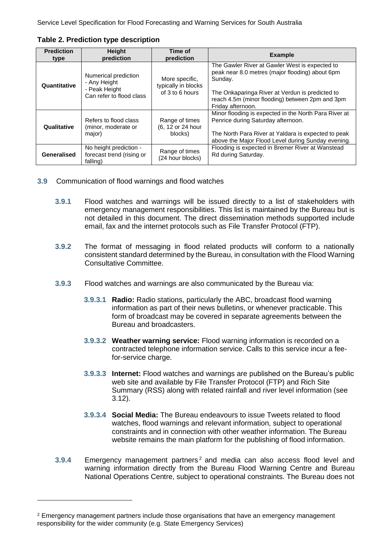| <b>Prediction</b><br>type | <b>Height</b><br>prediction                                                       | Time of<br>prediction                                    | <b>Example</b>                                                                                                                                                                                                                          |
|---------------------------|-----------------------------------------------------------------------------------|----------------------------------------------------------|-----------------------------------------------------------------------------------------------------------------------------------------------------------------------------------------------------------------------------------------|
| Quantitative              | Numerical prediction<br>- Any Height<br>- Peak Height<br>Can refer to flood class | More specific.<br>typically in blocks<br>of 3 to 6 hours | The Gawler River at Gawler West is expected to<br>peak near 8.0 metres (major flooding) about 6pm<br>Sunday.<br>The Onkaparinga River at Verdun is predicted to<br>reach 4.5m (minor flooding) between 2pm and 3pm<br>Friday afternoon. |
| Qualitative               | Refers to flood class<br>(minor, moderate or<br>major)                            | Range of times<br>(6, 12 or 24 hour<br>blocks)           | Minor flooding is expected in the North Para River at<br>Penrice during Saturday afternoon.<br>The North Para River at Yaldara is expected to peak<br>above the Major Flood Level during Sunday evening.                                |
| Generalised               | No height prediction -<br>forecast trend (rising or<br>falling)                   | Range of times<br>(24 hour blocks)                       | Flooding is expected in Bremer River at Wanstead<br>Rd during Saturday.                                                                                                                                                                 |

**Table 2. Prediction type description**

- **3.9** Communication of flood warnings and flood watches
	- **3.9.1** Flood watches and warnings will be issued directly to a list of stakeholders with emergency management responsibilities. This list is maintained by the Bureau but is not detailed in this document. The direct dissemination methods supported include email, fax and the internet protocols such as File Transfer Protocol (FTP).
	- **3.9.2** The format of messaging in flood related products will conform to a nationally consistent standard determined by the Bureau, in consultation with the Flood Warning Consultative Committee.
	- **3.9.3** Flood watches and warnings are also communicated by the Bureau via:
		- **3.9.3.1 Radio:** Radio stations, particularly the ABC, broadcast flood warning information as part of their news bulletins, or whenever practicable. This form of broadcast may be covered in separate agreements between the Bureau and broadcasters.
		- **3.9.3.2 Weather warning service:** Flood warning information is recorded on a contracted telephone information service. Calls to this service incur a feefor-service charge.
		- **3.9.3.3 Internet:** Flood watches and warnings are published on the Bureau's public web site and available by File Transfer Protocol (FTP) and Rich Site Summary (RSS) along with related rainfall and river level information (see 3.12).
		- **3.9.3.4 Social Media:** The Bureau endeavours to issue Tweets related to flood watches, flood warnings and relevant information, subject to operational constraints and in connection with other weather information. The Bureau website remains the main platform for the publishing of flood information.
	- **3.9.4** Emergency management partners <sup>2</sup> and media can also access flood level and warning information directly from the Bureau Flood Warning Centre and Bureau National Operations Centre, subject to operational constraints. The Bureau does not

 $2$  Emergency management partners include those organisations that have an emergency management responsibility for the wider community (e.g. State Emergency Services)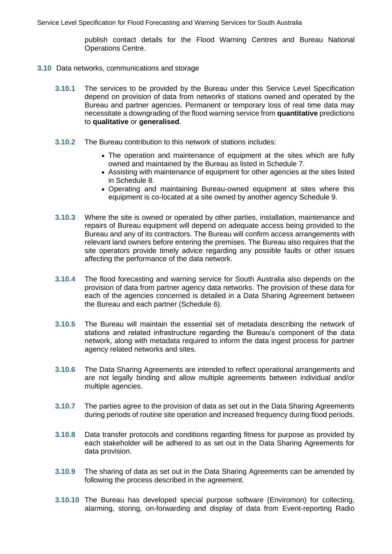publish contact details for the Flood Warning Centres and Bureau National Operations Centre.

- **3.10** Data networks, communications and storage
	- **3.10.1** The services to be provided by the Bureau under this Service Level Specification depend on provision of data from networks of stations owned and operated by the Bureau and partner agencies. Permanent or temporary loss of real time data may necessitate a downgrading of the flood warning service from **quantitative** predictions to **qualitative** or **generalised**.
	- **3.10.2** The Bureau contribution to this network of stations includes:
		- The operation and maintenance of equipment at the sites which are fully owned and maintained by the Bureau as listed in Schedule 7.
		- Assisting with maintenance of equipment for other agencies at the sites listed in Schedule 8.
		- Operating and maintaining Bureau-owned equipment at sites where this equipment is co-located at a site owned by another agency Schedule 9.
	- **3.10.3** Where the site is owned or operated by other parties, installation, maintenance and repairs of Bureau equipment will depend on adequate access being provided to the Bureau and any of its contractors. The Bureau will confirm access arrangements with relevant land owners before entering the premises. The Bureau also requires that the site operators provide timely advice regarding any possible faults or other issues affecting the performance of the data network.
	- **3.10.4** The flood forecasting and warning service for South Australia also depends on the provision of data from partner agency data networks. The provision of these data for each of the agencies concerned is detailed in a Data Sharing Agreement between the Bureau and each partner (Schedule 6).
	- **3.10.5** The Bureau will maintain the essential set of metadata describing the network of stations and related infrastructure regarding the Bureau's component of the data network, along with metadata required to inform the data ingest process for partner agency related networks and sites.
	- **3.10.6** The Data Sharing Agreements are intended to reflect operational arrangements and are not legally binding and allow multiple agreements between individual and/or multiple agencies.
	- **3.10.7** The parties agree to the provision of data as set out in the Data Sharing Agreements during periods of routine site operation and increased frequency during flood periods.
	- **3.10.8** Data transfer protocols and conditions regarding fitness for purpose as provided by each stakeholder will be adhered to as set out in the Data Sharing Agreements for data provision.
	- **3.10.9** The sharing of data as set out in the Data Sharing Agreements can be amended by following the process described in the agreement.
	- **3.10.10** The Bureau has developed special purpose software (Enviromon) for collecting, alarming, storing, on-forwarding and display of data from Event-reporting Radio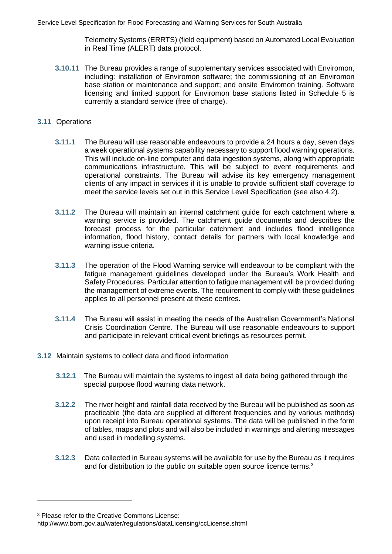Telemetry Systems (ERRTS) (field equipment) based on Automated Local Evaluation in Real Time (ALERT) data protocol.

**3.10.11** The Bureau provides a range of supplementary services associated with Enviromon, including: installation of Enviromon software; the commissioning of an Enviromon base station or maintenance and support; and onsite Enviromon training. Software licensing and limited support for Enviromon base stations listed in Schedule 5 is currently a standard service (free of charge).

#### **3.11** Operations

- **3.11.1** The Bureau will use reasonable endeavours to provide a 24 hours a day, seven days a week operational systems capability necessary to support flood warning operations. This will include on-line computer and data ingestion systems, along with appropriate communications infrastructure. This will be subject to event requirements and operational constraints. The Bureau will advise its key emergency management clients of any impact in services if it is unable to provide sufficient staff coverage to meet the service levels set out in this Service Level Specification (see also 4.2).
- **3.11.2** The Bureau will maintain an internal catchment guide for each catchment where a warning service is provided. The catchment guide documents and describes the forecast process for the particular catchment and includes flood intelligence information, flood history, contact details for partners with local knowledge and warning issue criteria.
- **3.11.3** The operation of the Flood Warning service will endeavour to be compliant with the fatigue management guidelines developed under the Bureau's Work Health and Safety Procedures. Particular attention to fatigue management will be provided during the management of extreme events. The requirement to comply with these guidelines applies to all personnel present at these centres.
- **3.11.4** The Bureau will assist in meeting the needs of the Australian Government's National Crisis Coordination Centre. The Bureau will use reasonable endeavours to support and participate in relevant critical event briefings as resources permit.

#### **3.12** Maintain systems to collect data and flood information

- **3.12.1** The Bureau will maintain the systems to ingest all data being gathered through the special purpose flood warning data network.
- **3.12.2** The river height and rainfall data received by the Bureau will be published as soon as practicable (the data are supplied at different frequencies and by various methods) upon receipt into Bureau operational systems. The data will be published in the form of tables, maps and plots and will also be included in warnings and alerting messages and used in modelling systems.
- **3.12.3** Data collected in Bureau systems will be available for use by the Bureau as it requires and for distribution to the public on suitable open source licence terms.<sup>3</sup>

<sup>3</sup> Please refer to the Creative Commons License:

http://www.bom.gov.au/water/regulations/dataLicensing/ccLicense.shtml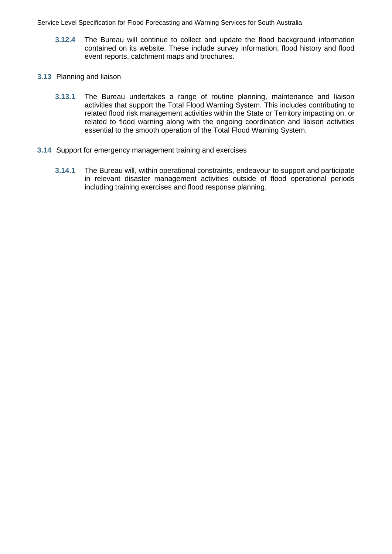- **3.12.4** The Bureau will continue to collect and update the flood background information contained on its website. These include survey information, flood history and flood event reports, catchment maps and brochures.
- **3.13** Planning and liaison
	- **3.13.1** The Bureau undertakes a range of routine planning, maintenance and liaison activities that support the Total Flood Warning System. This includes contributing to related flood risk management activities within the State or Territory impacting on, or related to flood warning along with the ongoing coordination and liaison activities essential to the smooth operation of the Total Flood Warning System.
- **3.14** Support for emergency management training and exercises
	- **3.14.1** The Bureau will, within operational constraints, endeavour to support and participate in relevant disaster management activities outside of flood operational periods including training exercises and flood response planning.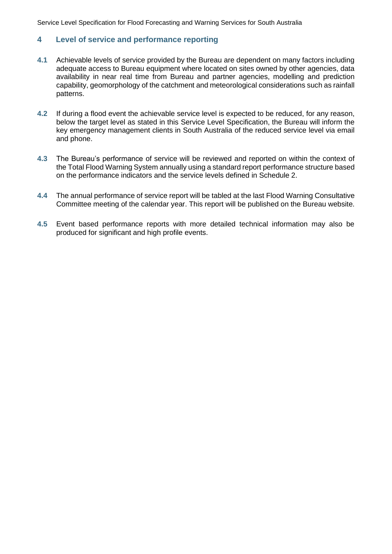# <span id="page-15-0"></span>**4 Level of service and performance reporting**

- **4.1** Achievable levels of service provided by the Bureau are dependent on many factors including adequate access to Bureau equipment where located on sites owned by other agencies, data availability in near real time from Bureau and partner agencies, modelling and prediction capability, geomorphology of the catchment and meteorological considerations such as rainfall patterns.
- **4.2** If during a flood event the achievable service level is expected to be reduced, for any reason, below the target level as stated in this Service Level Specification, the Bureau will inform the key emergency management clients in South Australia of the reduced service level via email and phone.
- **4.3** The Bureau's performance of service will be reviewed and reported on within the context of the Total Flood Warning System annually using a standard report performance structure based on the performance indicators and the service levels defined in Schedule 2.
- **4.4** The annual performance of service report will be tabled at the last Flood Warning Consultative Committee meeting of the calendar year. This report will be published on the Bureau website.
- **4.5** Event based performance reports with more detailed technical information may also be produced for significant and high profile events.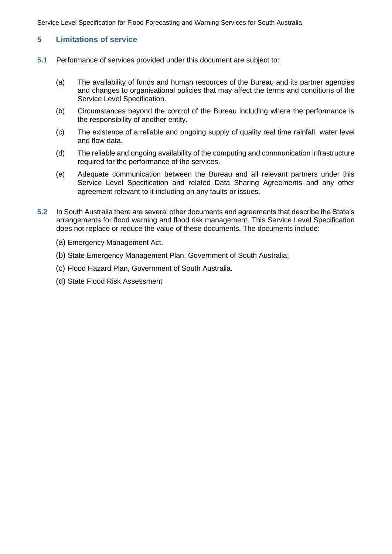## <span id="page-16-0"></span>**5 Limitations of service**

- **5.1** Performance of services provided under this document are subject to:
	- (a) The availability of funds and human resources of the Bureau and its partner agencies and changes to organisational policies that may affect the terms and conditions of the Service Level Specification.
	- (b) Circumstances beyond the control of the Bureau including where the performance is the responsibility of another entity.
	- (c) The existence of a reliable and ongoing supply of quality real time rainfall, water level and flow data.
	- (d) The reliable and ongoing availability of the computing and communication infrastructure required for the performance of the services.
	- (e) Adequate communication between the Bureau and all relevant partners under this Service Level Specification and related Data Sharing Agreements and any other agreement relevant to it including on any faults or issues.
- **5.2** In South Australia there are several other documents and agreements that describe the State's arrangements for flood warning and flood risk management. This Service Level Specification does not replace or reduce the value of these documents. The documents include:
	- (a) Emergency Management Act.
	- (b) State Emergency Management Plan, Government of South Australia;
	- (c) Flood Hazard Plan, Government of South Australia.
	- (d) State Flood Risk Assessment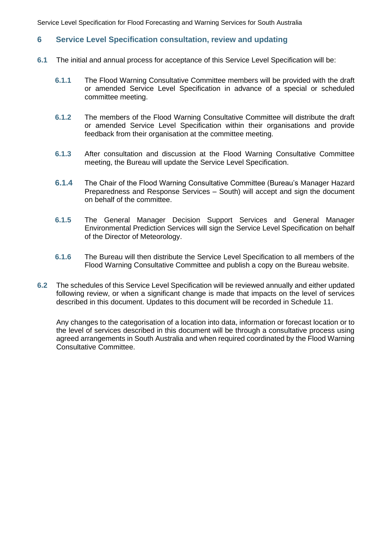### <span id="page-17-0"></span>**6 Service Level Specification consultation, review and updating**

- **6.1** The initial and annual process for acceptance of this Service Level Specification will be:
	- **6.1.1** The Flood Warning Consultative Committee members will be provided with the draft or amended Service Level Specification in advance of a special or scheduled committee meeting.
	- **6.1.2** The members of the Flood Warning Consultative Committee will distribute the draft or amended Service Level Specification within their organisations and provide feedback from their organisation at the committee meeting.
	- **6.1.3** After consultation and discussion at the Flood Warning Consultative Committee meeting, the Bureau will update the Service Level Specification.
	- **6.1.4** The Chair of the Flood Warning Consultative Committee (Bureau's Manager Hazard Preparedness and Response Services – South) will accept and sign the document on behalf of the committee.
	- **6.1.5** The General Manager Decision Support Services and General Manager Environmental Prediction Services will sign the Service Level Specification on behalf of the Director of Meteorology.
	- **6.1.6** The Bureau will then distribute the Service Level Specification to all members of the Flood Warning Consultative Committee and publish a copy on the Bureau website.
- **6.2** The schedules of this Service Level Specification will be reviewed annually and either updated following review, or when a significant change is made that impacts on the level of services described in this document. Updates to this document will be recorded in Schedule 11.

Any changes to the categorisation of a location into data, information or forecast location or to the level of services described in this document will be through a consultative process using agreed arrangements in South Australia and when required coordinated by the Flood Warning Consultative Committee.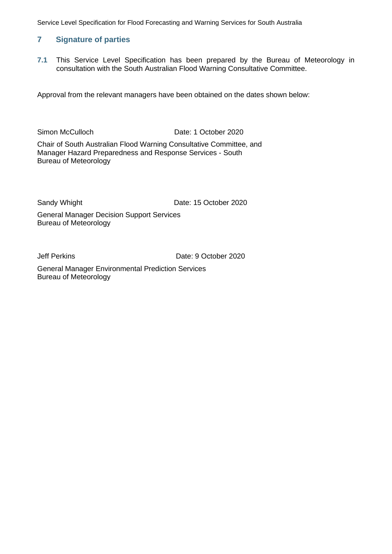# <span id="page-18-0"></span>**7 Signature of parties**

**7.1** This Service Level Specification has been prepared by the Bureau of Meteorology in consultation with the South Australian Flood Warning Consultative Committee.

Approval from the relevant managers have been obtained on the dates shown below:

Simon McCulloch Date: 1 October 2020

Chair of South Australian Flood Warning Consultative Committee, and Manager Hazard Preparedness and Response Services - South Bureau of Meteorology

Sandy Whight Date: 15 October 2020

General Manager Decision Support Services Bureau of Meteorology

Jeff Perkins Date: 9 October 2020

General Manager Environmental Prediction Services Bureau of Meteorology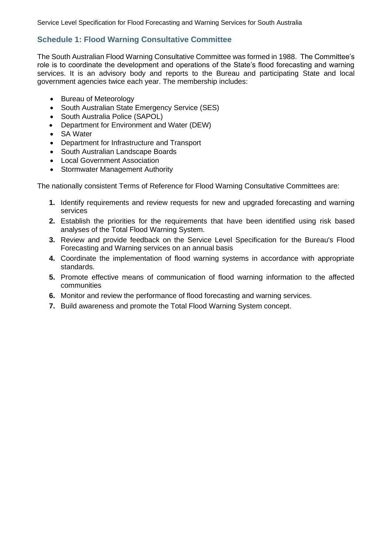# <span id="page-19-0"></span>**Schedule 1: Flood Warning Consultative Committee**

The South Australian Flood Warning Consultative Committee was formed in 1988. The Committee's role is to coordinate the development and operations of the State's flood forecasting and warning services. It is an advisory body and reports to the Bureau and participating State and local government agencies twice each year. The membership includes:

- Bureau of Meteorology
- South Australian State Emergency Service (SES)
- South Australia Police (SAPOL)
- Department for Environment and Water (DEW)
- SA Water
- Department for Infrastructure and Transport
- South Australian Landscape Boards
- Local Government Association
- Stormwater Management Authority

The nationally consistent Terms of Reference for Flood Warning Consultative Committees are:

- **1.** Identify requirements and review requests for new and upgraded forecasting and warning services
- **2.** Establish the priorities for the requirements that have been identified using risk based analyses of the Total Flood Warning System.
- **3.** Review and provide feedback on the Service Level Specification for the Bureau's Flood Forecasting and Warning services on an annual basis
- **4.** Coordinate the implementation of flood warning systems in accordance with appropriate standards.
- **5.** Promote effective means of communication of flood warning information to the affected communities
- **6.** Monitor and review the performance of flood forecasting and warning services.
- **7.** Build awareness and promote the Total Flood Warning System concept.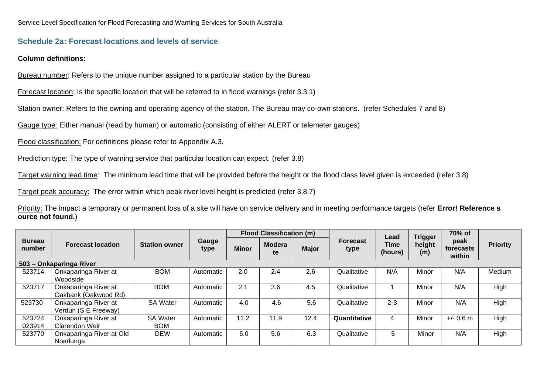# **Schedule 2a: Forecast locations and levels of service**

#### **Column definitions:**

Bureau number: Refers to the unique number assigned to a particular station by the Bureau

Forecast location: Is the specific location that will be referred to in flood warnings (refer 3.3.1)

Station owner: Refers to the owning and operating agency of the station. The Bureau may co-own stations. (refer Schedules 7 and 8)

Gauge type: Either manual (read by human) or automatic (consisting of either ALERT or telemeter gauges)

Flood classification: For definitions please refer to Appendix A.3.

Prediction type: The type of warning service that particular location can expect. (refer 3.8)

Target warning lead time: The minimum lead time that will be provided before the height or the flood class level given is exceeded (refer 3.8)

Target peak accuracy: The error within which peak river level height is predicted (refer 3.8.7)

<span id="page-20-0"></span>Priority: The impact a temporary or permanent loss of a site will have on service delivery and in meeting performance targets (refer **Error! Reference s ource not found.**)

|                         |                                               |                               |               | <b>Flood Classification (m)</b> |                     |              |                  | Lead            | <b>Trigger</b> | 70% of                      |                 |
|-------------------------|-----------------------------------------------|-------------------------------|---------------|---------------------------------|---------------------|--------------|------------------|-----------------|----------------|-----------------------------|-----------------|
| <b>Bureau</b><br>number | <b>Forecast location</b>                      | <b>Station owner</b>          | Gauge<br>type | <b>Minor</b>                    | <b>Modera</b><br>te | <b>Major</b> | Forecast<br>type | Time<br>(hours) | height<br>(m)  | peak<br>forecasts<br>within | <b>Priority</b> |
|                         | 503 - Onkaparinga River                       |                               |               |                                 |                     |              |                  |                 |                |                             |                 |
| 523714                  | Onkaparinga River at<br>Woodside              | <b>BOM</b>                    | Automatic     | 2.0                             | 2.4                 | 2.6          | Qualitative      | N/A             | Minor          | N/A                         | Medium          |
| 523717                  | Onkaparinga River at<br>Oakbank (Oakwood Rd)  | <b>BOM</b>                    | Automatic     | 2.1                             | 3.6                 | 4.5          | Qualitative      |                 | Minor          | N/A                         | High            |
| 523730                  | Onkaparinga River at<br>Verdun (S E Freeway)  | <b>SA Water</b>               | Automatic     | 4.0                             | 4.6                 | 5.6          | Qualitative      | $2 - 3$         | Minor          | N/A                         | High            |
| 523724<br>023914        | Onkaparinga River at<br><b>Clarendon Weir</b> | <b>SA Water</b><br><b>BOM</b> | Automatic     | 11.2                            | 11.9                | 12.4         | Quantitative     | 4               | Minor          | $+/- 0.6$ m                 | High            |
| 523770                  | Onkaparinga River at Old<br>Noarlunga         | <b>DEW</b>                    | Automatic     | 5.0                             | 5.6                 | 6.3          | Qualitative      | 5               | Minor          | N/A                         | High            |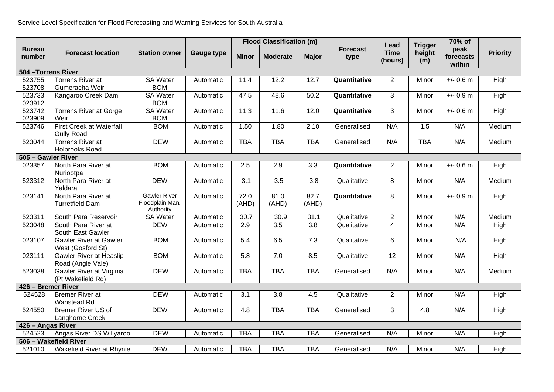|                         |                                                      |                                                     |                   | <b>Flood Classification (m)</b> |                 |               |                         |                                |                                 | 70% of                      |                 |
|-------------------------|------------------------------------------------------|-----------------------------------------------------|-------------------|---------------------------------|-----------------|---------------|-------------------------|--------------------------------|---------------------------------|-----------------------------|-----------------|
| <b>Bureau</b><br>number | <b>Forecast location</b>                             | <b>Station owner</b>                                | <b>Gauge type</b> | <b>Minor</b>                    | <b>Moderate</b> | <b>Major</b>  | <b>Forecast</b><br>type | Lead<br><b>Time</b><br>(hours) | <b>Trigger</b><br>height<br>(m) | peak<br>forecasts<br>within | <b>Priority</b> |
| 504 - Torrens River     |                                                      |                                                     |                   |                                 |                 |               |                         |                                |                                 |                             |                 |
| 523755<br>523708        | Torrens River at<br>Gumeracha Weir                   | <b>SA Water</b><br><b>BOM</b>                       | Automatic         | 11.4                            | 12.2            | 12.7          | Quantitative            | $\overline{2}$                 | Minor                           | $+/- 0.6$ m                 | High            |
| 523733<br>023912        | Kangaroo Creek Dam                                   | <b>SA Water</b><br><b>BOM</b>                       | Automatic         | 47.5                            | 48.6            | 50.2          | Quantitative            | 3                              | Minor                           | $+/- 0.9$ m                 | High            |
| 523742<br>023909        | <b>Torrens River at Gorge</b><br>Weir                | SA Water<br><b>BOM</b>                              | Automatic         | 11.3                            | 11.6            | 12.0          | Quantitative            | 3                              | Minor                           | $+/- 0.6$ m                 | High            |
| 523746                  | <b>First Creek at Waterfall</b><br><b>Gully Road</b> | <b>BOM</b>                                          | Automatic         | 1.50                            | 1.80            | 2.10          | Generalised             | N/A                            | 1.5                             | N/A                         | Medium          |
| 523044                  | <b>Torrens River at</b><br>Holbrooks Road            | <b>DEW</b>                                          | Automatic         | <b>TBA</b>                      | <b>TBA</b>      | <b>TBA</b>    | Generalised             | N/A                            | <b>TBA</b>                      | N/A                         | Medium          |
| 505 - Gawler River      |                                                      |                                                     |                   |                                 |                 |               |                         |                                |                                 |                             |                 |
| 023357                  | North Para River at<br>Nuriootpa                     | <b>BOM</b>                                          | Automatic         | 2.5                             | 2.9             | 3.3           | Quantitative            | $\overline{2}$                 | Minor                           | $+/- 0.6$ m                 | High            |
| 523312                  | North Para River at<br>Yaldara                       | <b>DEW</b>                                          | Automatic         | 3.1                             | 3.5             | 3.8           | Qualitative             | 8                              | Minor                           | N/A                         | Medium          |
| 023141                  | North Para River at<br><b>Turretfield Dam</b>        | <b>Gawler River</b><br>Floodplain Man.<br>Authority | Automatic         | 72.0<br>(AHD)                   | 81.0<br>(AHD)   | 82.7<br>(AHD) | Quantitative            | 8                              | Minor                           | $+/- 0.9$ m                 | High            |
| 523311                  | South Para Reservoir                                 | <b>SA Water</b>                                     | Automatic         | 30.7                            | 30.9            | 31.1          | Qualitative             | $\overline{2}$                 | Minor                           | N/A                         | Medium          |
| 523048                  | South Para River at<br>South East Gawler             | <b>DEW</b>                                          | Automatic         | 2.9                             | 3.5             | 3.8           | Qualitative             | $\overline{4}$                 | Minor                           | N/A                         | High            |
| 023107                  | <b>Gawler River at Gawler</b><br>West (Gosford St)   | <b>BOM</b>                                          | Automatic         | 5.4                             | 6.5             | 7.3           | Qualitative             | 6                              | Minor                           | N/A                         | High            |
| 023111                  | Gawler River at Heaslip<br>Road (Angle Vale)         | <b>BOM</b>                                          | Automatic         | 5.8                             | 7.0             | 8.5           | Qualitative             | 12                             | Minor                           | N/A                         | High            |
| 523038                  | Gawler River at Virginia<br>(Pt Wakefield Rd)        | <b>DEW</b>                                          | Automatic         | <b>TBA</b>                      | <b>TBA</b>      | <b>TBA</b>    | Generalised             | N/A                            | Minor                           | N/A                         | Medium          |
| 426 - Bremer River      |                                                      |                                                     |                   |                                 |                 |               |                         |                                |                                 |                             |                 |
| 524528                  | <b>Bremer River at</b><br>Wanstead Rd                | <b>DEW</b>                                          | Automatic         | 3.1                             | 3.8             | 4.5           | Qualitative             | 2                              | Minor                           | N/A                         | High            |
| 524550                  | <b>Bremer River US of</b><br><b>Langhorne Creek</b>  | <b>DEW</b>                                          | Automatic         | 4.8                             | <b>TBA</b>      | <b>TBA</b>    | Generalised             | 3                              | 4.8                             | N/A                         | <b>High</b>     |
| 426 - Angas River       |                                                      |                                                     |                   |                                 |                 |               |                         |                                |                                 |                             |                 |
| 524523                  | Angas River DS Willyaroo                             | <b>DEW</b>                                          | Automatic         | <b>TBA</b>                      | <b>TBA</b>      | <b>TBA</b>    | Generalised             | N/A                            | Minor                           | N/A                         | High            |
|                         | 506 - Wakefield River                                |                                                     |                   |                                 |                 |               |                         |                                |                                 |                             |                 |
| 521010                  | Wakefield River at Rhynie                            | <b>DEW</b>                                          | Automatic         | <b>TBA</b>                      | <b>TBA</b>      | <b>TBA</b>    | Generalised             | N/A                            | Minor                           | N/A                         | High            |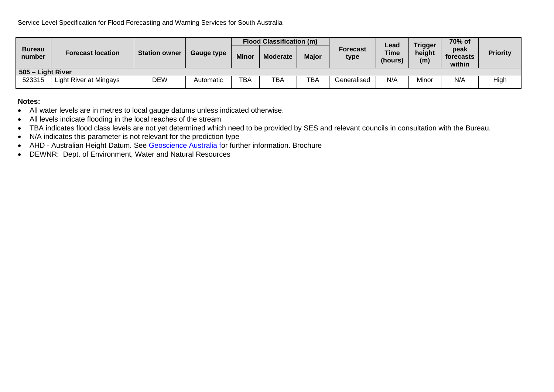|                         | <b>Forecast location</b> | <b>Station owner</b> | <b>Gauge type</b> | <b>Flood Classification (m)</b> |                 |              |                  | Lead                   | <b>Trigger</b> | 70% of                      |                 |
|-------------------------|--------------------------|----------------------|-------------------|---------------------------------|-----------------|--------------|------------------|------------------------|----------------|-----------------------------|-----------------|
| <b>Bureau</b><br>number |                          |                      |                   | <b>Minor</b>                    | <b>Moderate</b> | <b>Major</b> | Forecast<br>type | <b>Time</b><br>(hours) | height<br>(m)  | peak<br>forecasts<br>within | <b>Priority</b> |
|                         | 505 - Light River        |                      |                   |                                 |                 |              |                  |                        |                |                             |                 |
| 523315                  | Light River at Mingays   | DEW                  | Automatic         | <b>TBA</b>                      | <b>TBA</b>      | <b>TBA</b>   | Generalised      | N/A                    | Minor          | N/A                         | High            |

#### **Notes:**

- All water levels are in metres to local gauge datums unless indicated otherwise.
- All levels indicate flooding in the local reaches of the stream
- TBA indicates flood class levels are not yet determined which need to be provided by SES and relevant councils in consultation with the Bureau.
- N/A indicates this parameter is not relevant for the prediction type
- AHD Australian Height Datum. See [Geoscience Australia fo](http://www.ga.gov.au/earth-monitoring/geodesy/geodetic-datums/australian-height-datum-ahd.html)r further information. Brochure
- DEWNR: Dept. of Environment, Water and Natural Resources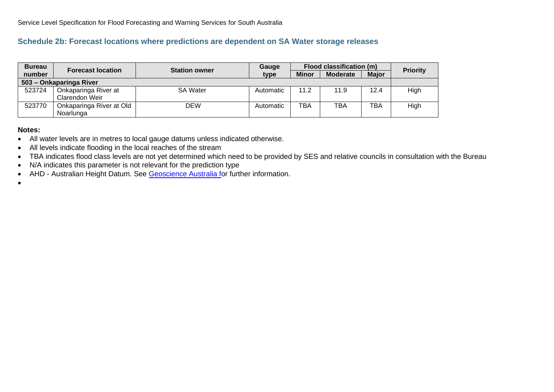# **Schedule 2b: Forecast locations where predictions are dependent on SA Water storage releases**

| <b>Bureau</b>           | <b>Forecast location</b>              | <b>Station owner</b> | Gauge     |              | Flood classification (m) |              | <b>Priority</b> |
|-------------------------|---------------------------------------|----------------------|-----------|--------------|--------------------------|--------------|-----------------|
| number                  |                                       |                      | type      | <b>Minor</b> | <b>Moderate</b>          | <b>Major</b> |                 |
| 503 - Onkaparinga River |                                       |                      |           |              |                          |              |                 |
| 523724                  | Onkaparinga River at                  | <b>SA Water</b>      | Automatic | 11.2         | 11.9                     | 12.4         | High            |
|                         | Clarendon Weir                        |                      |           |              |                          |              |                 |
| 523770                  | Onkaparinga River at Old<br>Noarlunga | <b>DEW</b>           | Automatic | TBA          | TBA                      | <b>TBA</b>   | High            |

#### **Notes:**

- All water levels are in metres to local gauge datums unless indicated otherwise.
- All levels indicate flooding in the local reaches of the stream
- TBA indicates flood class levels are not yet determined which need to be provided by SES and relative councils in consultation with the Bureau
- N/A indicates this parameter is not relevant for the prediction type
- AHD Australian Height Datum. See [Geoscience Australia fo](http://www.ga.gov.au/earth-monitoring/geodesy/geodetic-datums/australian-height-datum-ahd.html)r further information.
- •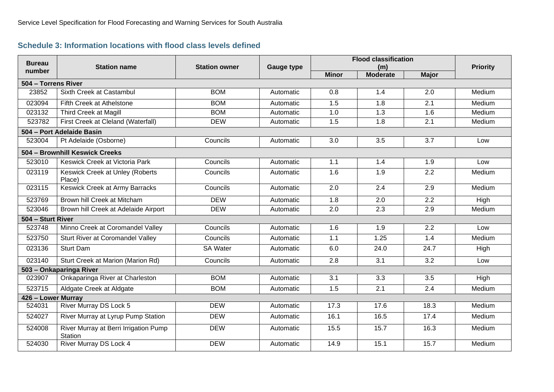# **Schedule 3: Information locations with flood class levels defined**

<span id="page-24-0"></span>

| <b>Bureau</b>       | <b>Station name</b>                              | <b>Station owner</b> | <b>Gauge type</b> | <b>Flood classification</b> | <b>Priority</b>        |              |        |
|---------------------|--------------------------------------------------|----------------------|-------------------|-----------------------------|------------------------|--------------|--------|
| number              |                                                  |                      |                   | <b>Minor</b>                | (m)<br><b>Moderate</b> | <b>Major</b> |        |
| 504 - Torrens River |                                                  |                      |                   |                             |                        |              |        |
| 23852               | Sixth Creek at Castambul                         | <b>BOM</b>           | Automatic         | 0.8                         | 1.4                    | 2.0          | Medium |
| 023094              | Fifth Creek at Athelstone                        | <b>BOM</b>           | Automatic         | 1.5                         | 1.8                    | 2.1          | Medium |
| 023132              | <b>Third Creek at Magill</b>                     | <b>BOM</b>           | Automatic         | 1.0                         | 1.3                    | 1.6          | Medium |
| 523782              | First Creek at Cleland (Waterfall)               | <b>DEW</b>           | Automatic         | 1.5                         | 1.8                    | 2.1          | Medium |
|                     | 504 - Port Adelaide Basin                        |                      |                   |                             |                        |              |        |
| 523004              | Pt Adelaide (Osborne)                            | Councils             | Automatic         | 3.0                         | 3.5                    | 3.7          | Low    |
|                     | 504 - Brownhill Keswick Creeks                   |                      |                   |                             |                        |              |        |
| 523010              | Keswick Creek at Victoria Park                   | Councils             | Automatic         | 1.1                         | 1.4                    | 1.9          | Low    |
| 023119              | Keswick Creek at Unley (Roberts<br>Place)        | Councils             | Automatic         | 1.6                         | 1.9                    | 2.2          | Medium |
| 023115              | <b>Keswick Creek at Army Barracks</b>            | Councils             | Automatic         | 2.0                         | 2.4                    | 2.9          | Medium |
| 523769              | Brown hill Creek at Mitcham                      | <b>DEW</b>           | Automatic         | 1.8                         | 2.0                    | 2.2          | High   |
| 523046              | Brown hill Creek at Adelaide Airport             | <b>DEW</b>           | Automatic         | 2.0                         | 2.3                    | 2.9          | Medium |
| 504 - Sturt River   |                                                  |                      |                   |                             |                        |              |        |
| 523748              | Minno Creek at Coromandel Valley                 | Councils             | Automatic         | 1.6                         | 1.9                    | 2.2          | Low    |
| 523750              | Sturt River at Coromandel Valley                 | Councils             | Automatic         | 1.1                         | 1.25                   | 1.4          | Medium |
| 023136              | <b>Sturt Dam</b>                                 | <b>SA Water</b>      | Automatic         | 6.0                         | 24.0                   | 24.7         | High   |
| 023140              | Sturt Creek at Marion (Marion Rd)                | Councils             | Automatic         | 2.8                         | 3.1                    | 3.2          | Low    |
|                     | 503 - Onkaparinga River                          |                      |                   |                             |                        |              |        |
| 023907              | Onkaparinga River at Charleston                  | <b>BOM</b>           | Automatic         | 3.1                         | 3.3                    | 3.5          | High   |
| 523715              | Aldgate Creek at Aldgate                         | <b>BOM</b>           | Automatic         | 1.5                         | 2.1                    | 2.4          | Medium |
| 426 - Lower Murray  |                                                  |                      |                   |                             |                        |              |        |
| 524031              | <b>River Murray DS Lock 5</b>                    | <b>DEW</b>           | Automatic         | 17.3                        | 17.6                   | 18.3         | Medium |
| 524027              | River Murray at Lyrup Pump Station               | <b>DEW</b>           | Automatic         | 16.1                        | 16.5                   | 17.4         | Medium |
| 524008              | River Murray at Berri Irrigation Pump<br>Station | <b>DEW</b>           | Automatic         | 15.5                        | 15.7                   | 16.3         | Medium |
| 524030              | <b>River Murray DS Lock 4</b>                    | <b>DEW</b>           | Automatic         | 14.9                        | 15.1                   | 15.7         | Medium |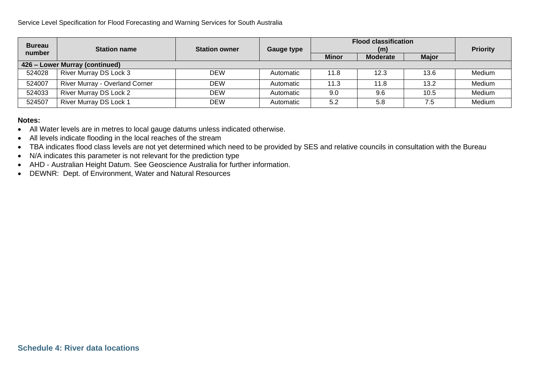| <b>Bureau</b>                  |                                |                      |            | <b>Flood classification</b> |                 |                 |        |  |  |
|--------------------------------|--------------------------------|----------------------|------------|-----------------------------|-----------------|-----------------|--------|--|--|
| number                         | <b>Station name</b>            | <b>Station owner</b> | Gauge type |                             |                 | <b>Priority</b> |        |  |  |
|                                |                                |                      |            | <b>Minor</b>                | <b>Moderate</b> | <b>Major</b>    |        |  |  |
| 426 - Lower Murray (continued) |                                |                      |            |                             |                 |                 |        |  |  |
| 524028                         | River Murray DS Lock 3         | <b>DEW</b>           | Automatic  | 11.8                        | 12.3            | 13.6            | Medium |  |  |
| 524007                         | River Murray - Overland Corner | <b>DEW</b>           | Automatic  | 11.3                        | 11.8            | 13.2            | Medium |  |  |
| 524033                         | River Murray DS Lock 2         | <b>DEW</b>           | Automatic  | 9.0                         | 9.6             | 10.5            | Medium |  |  |
| 524507                         | River Murray DS Lock 1         | <b>DEW</b>           | Automatic  | 5.2                         | 5.8             | 7.5             | Medium |  |  |

#### **Notes:**

- All Water levels are in metres to local gauge datums unless indicated otherwise.
- All levels indicate flooding in the local reaches of the stream
- TBA indicates flood class levels are not yet determined which need to be provided by SES and relative councils in consultation with the Bureau
- N/A indicates this parameter is not relevant for the prediction type
- AHD Australian Height Datum. See Geoscience Australia for further information.
- <span id="page-25-0"></span>• DEWNR: Dept. of Environment, Water and Natural Resources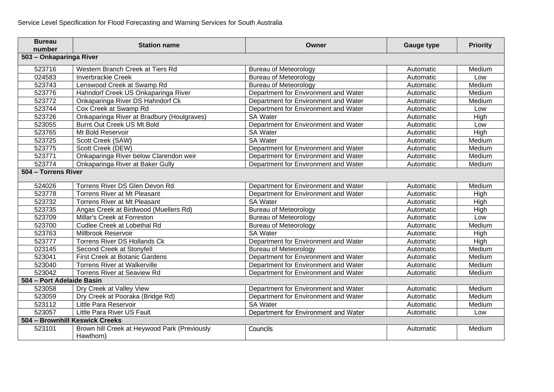| <b>Bureau</b><br>number   | <b>Station name</b>                                       | Owner                                | <b>Gauge type</b> | <b>Priority</b> |
|---------------------------|-----------------------------------------------------------|--------------------------------------|-------------------|-----------------|
| 503 - Onkaparinga River   |                                                           |                                      |                   |                 |
| 523716                    | Western Branch Creek at Tiers Rd                          | <b>Bureau of Meteorology</b>         | Automatic         | Medium          |
| 024583                    | <b>Inverbrackie Creek</b>                                 | <b>Bureau of Meteorology</b>         | Automatic         | Low             |
| 523743                    | Lenswood Creek at Swamp Rd                                | <b>Bureau of Meteorology</b>         | Automatic         | Medium          |
| 523776                    | Hahndorf Creek US Onkaparinga River                       | Department for Environment and Water | Automatic         | Medium          |
| 523772                    | Onkaparinga River DS Hahndorf Ck                          | Department for Environment and Water | Automatic         | Medium          |
| 523744                    | Cox Creek at Swamp Rd                                     | Department for Environment and Water | Automatic         | Low             |
| 523726                    | Onkaparinga River at Bradbury (Houlgraves)                | <b>SA Water</b>                      | Automatic         | <b>High</b>     |
| 523055                    | <b>Burnt Out Creek US Mt Bold</b>                         | Department for Environment and Water | Automatic         | Low             |
| 523765                    | Mt Bold Reservoir                                         | <b>SA Water</b>                      | Automatic         | High            |
| 523725                    | Scott Creek (SAW)                                         | <b>SA Water</b>                      | Automatic         | Medium          |
| 523775                    | Scott Creek (DEW)                                         | Department for Environment and Water | Automatic         | Medium          |
| 523771                    | Onkaparinga River below Clarendon weir                    | Department for Environment and Water | Automatic         | Medium          |
| 523774                    | Onkaparinga River at Baker Gully                          | Department for Environment and Water | Automatic         | Medium          |
| 504 - Torrens River       |                                                           |                                      |                   |                 |
| 524026                    | Torrens River DS Glen Devon Rd                            | Department for Environment and Water | Automatic         | Medium          |
| 523778                    | Torrens River at Mt Pleasant                              | Department for Environment and Water | Automatic         | High            |
| 523732                    | Torrens River at Mt Pleasant                              | <b>SA Water</b>                      | Automatic         | High            |
| 523735                    | Angas Creek at Birdwood (Muellers Rd)                     | <b>Bureau of Meteorology</b>         | Automatic         | High            |
| 523709                    | Millar's Creek at Forreston                               | <b>Bureau of Meteorology</b>         | Automatic         | Low             |
| 523700                    | Cudlee Creek at Lobethal Rd                               | <b>Bureau of Meteorology</b>         | Automatic         | Medium          |
| 523763                    | Millbrook Reservoir                                       | <b>SA Water</b>                      | Automatic         | High            |
| 523777                    | <b>Torrens River DS Hollands Ck</b>                       | Department for Environment and Water | Automatic         | <b>High</b>     |
| 023145                    | Second Creek at Stonyfell                                 | <b>Bureau of Meteorology</b>         | Automatic         | Medium          |
| 523041                    | First Creek at Botanic Gardens                            | Department for Environment and Water | Automatic         | Medium          |
| 523040                    | <b>Torrens River at Walkerville</b>                       | Department for Environment and Water | Automatic         | Medium          |
| 523042                    | <b>Torrens River at Seaview Rd</b>                        | Department for Environment and Water | Automatic         | Medium          |
| 504 - Port Adelaide Basin |                                                           |                                      |                   |                 |
| 523058                    | Dry Creek at Valley View                                  | Department for Environment and Water | Automatic         | Medium          |
| 523059                    | Dry Creek at Pooraka (Bridge Rd)                          | Department for Environment and Water | Automatic         | Medium          |
| 523112                    | Little Para Reservoir                                     | <b>SA Water</b>                      | Automatic         | Medium          |
| 523057                    | Little Para River US Fault                                | Department for Environment and Water | Automatic         | Low             |
|                           | 504 - Brownhill Keswick Creeks                            |                                      |                   |                 |
| 523101                    | Brown hill Creek at Heywood Park (Previously<br>Hawthorn) | Councils                             | Automatic         | Medium          |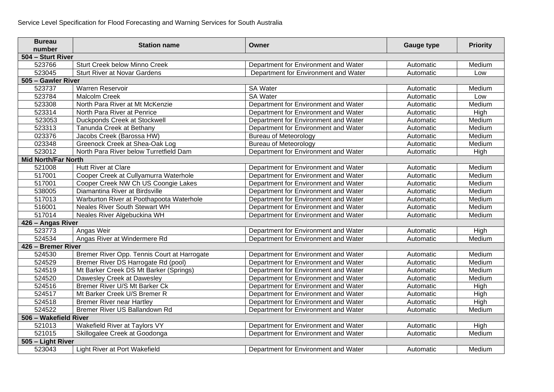| <b>Bureau</b><br>number    | <b>Station name</b>                         | Owner                                | <b>Gauge type</b> | <b>Priority</b> |  |
|----------------------------|---------------------------------------------|--------------------------------------|-------------------|-----------------|--|
| 504 - Sturt River          |                                             |                                      |                   |                 |  |
| 523766                     | Sturt Creek below Minno Creek               | Department for Environment and Water | Automatic         | Medium          |  |
| 523045                     | <b>Sturt River at Novar Gardens</b>         | Department for Environment and Water | Automatic         | Low             |  |
| 505 - Gawler River         |                                             |                                      |                   |                 |  |
| 523737                     | Warren Reservoir                            | <b>SA Water</b>                      | Automatic         | Medium          |  |
| 523784                     | Malcolm Creek                               | <b>SA Water</b>                      | Automatic         | Low             |  |
| 523308                     | North Para River at Mt McKenzie             | Department for Environment and Water | Automatic         | Medium          |  |
| 523314                     | North Para River at Penrice                 | Department for Environment and Water | Automatic         | High            |  |
| 523053                     | Duckponds Creek at Stockwell                | Department for Environment and Water | Automatic         | Medium          |  |
| 523313                     | Tanunda Creek at Bethany                    | Department for Environment and Water | Automatic         | Medium          |  |
| 023376                     | Jacobs Creek (Barossa HW)                   | <b>Bureau of Meteorology</b>         | Automatic         | Medium          |  |
| 023348                     | Greenock Creek at Shea-Oak Log              | <b>Bureau of Meteorology</b>         | Automatic         | Medium          |  |
| 523012                     | North Para River below Turretfield Dam      | Department for Environment and Water | Automatic         | High            |  |
| <b>Mid North/Far North</b> |                                             |                                      |                   |                 |  |
| 521008                     | <b>Hutt River at Clare</b>                  | Department for Environment and Water | Automatic         | Medium          |  |
| 517001                     | Cooper Creek at Cullyamurra Waterhole       | Department for Environment and Water | Automatic         | Medium          |  |
| 517001                     | Cooper Creek NW Ch US Coongie Lakes         | Department for Environment and Water | Automatic         | Medium          |  |
| 538005                     | Diamantina River at Birdsville              | Department for Environment and Water | Automatic         | Medium          |  |
| 517013                     | Warburton River at Poothapoota Waterhole    | Department for Environment and Water | Automatic         | Medium          |  |
| 516001                     | <b>Neales River South Stewart WH</b>        | Department for Environment and Water | Automatic         | Medium          |  |
| 517014                     | Neales River Algebuckina WH                 | Department for Environment and Water | Automatic         | Medium          |  |
| 426 - Angas River          |                                             |                                      |                   |                 |  |
| 523773                     | Angas Weir                                  | Department for Environment and Water | Automatic         | High            |  |
| 524534                     | Angas River at Windermere Rd                | Department for Environment and Water | Automatic         | Medium          |  |
| 426 - Bremer River         |                                             |                                      |                   |                 |  |
| 524530                     | Bremer River Opp. Tennis Court at Harrogate | Department for Environment and Water | Automatic         | Medium          |  |
| 524529                     | Bremer River DS Harrogate Rd (pool)         | Department for Environment and Water | Automatic         | Medium          |  |
| 524519                     | Mt Barker Creek DS Mt Barker (Springs)      | Department for Environment and Water | Automatic         | Medium          |  |
| 524520                     | Dawesley Creek at Dawesley                  | Department for Environment and Water | Automatic         | Medium          |  |
| 524516                     | Bremer River U/S Mt Barker Ck               | Department for Environment and Water | Automatic         | High            |  |
| 524517                     | Mt Barker Creek U/S Bremer R                | Department for Environment and Water | Automatic         | High            |  |
| 524518                     | <b>Bremer River near Hartley</b>            | Department for Environment and Water | Automatic         | High            |  |
| 524522                     | Bremer River US Ballandown Rd               | Department for Environment and Water | Automatic         | Medium          |  |
| 506 - Wakefield River      |                                             |                                      |                   |                 |  |
| 521013                     | Wakefield River at Taylors VY               | Department for Environment and Water | Automatic         | High            |  |
| 521015                     | Skillogalee Creek at Goodonga               | Department for Environment and Water | Automatic         | Medium          |  |
| 505 - Light River          |                                             |                                      |                   |                 |  |
| 523043                     | Light River at Port Wakefield               | Department for Environment and Water | Automatic         | Medium          |  |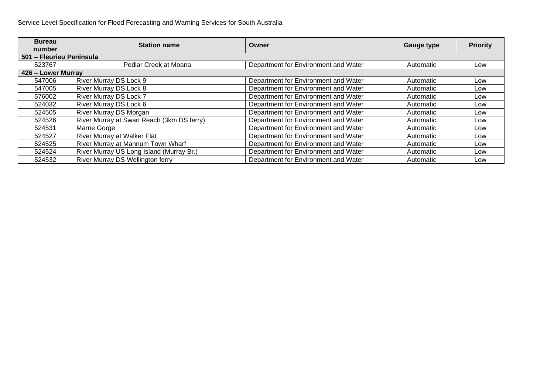| <b>Bureau</b>            | <b>Station name</b>                       | Owner                                | <b>Gauge type</b> | <b>Priority</b> |
|--------------------------|-------------------------------------------|--------------------------------------|-------------------|-----------------|
| number                   |                                           |                                      |                   |                 |
| 501 - Fleurieu Peninsula |                                           |                                      |                   |                 |
| 523767                   | Pedlar Creek at Moana                     | Department for Environment and Water | Automatic         | Low             |
| 426 - Lower Murray       |                                           |                                      |                   |                 |
| 547006                   | River Murray DS Lock 9                    | Department for Environment and Water | Automatic         | Low             |
| 547005                   | River Murray DS Lock 8                    | Department for Environment and Water | Automatic         | Low             |
| 576002                   | River Murray DS Lock 7                    | Department for Environment and Water | Automatic         | Low             |
| 524032                   | River Murray DS Lock 6                    | Department for Environment and Water | Automatic         | Low             |
| 524505                   | River Murray DS Morgan                    | Department for Environment and Water | Automatic         | Low             |
| 524526                   | River Murray at Swan Reach (3km DS ferry) | Department for Environment and Water | Automatic         | Low             |
| 524531                   | Marne Gorge                               | Department for Environment and Water | Automatic         | Low             |
| 524527                   | River Murray at Walker Flat               | Department for Environment and Water | Automatic         | Low             |
| 524525                   | River Murray at Mannum Town Wharf         | Department for Environment and Water | Automatic         | Low             |
| 524524                   | River Murray US Long Island (Murray Br.)  | Department for Environment and Water | Automatic         | Low             |
| 524532                   | River Murray DS Wellington ferry          | Department for Environment and Water | Automatic         | Low             |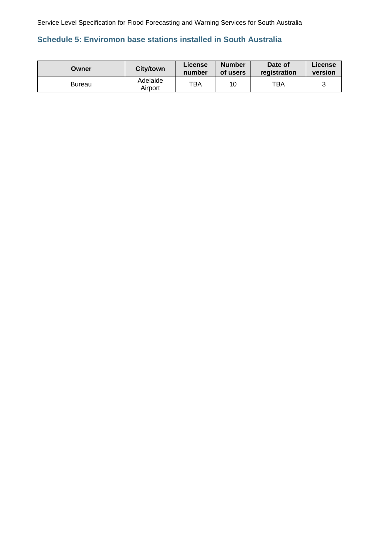# <span id="page-29-0"></span>**Schedule 5: Enviromon base stations installed in South Australia**

| Owner  | <b>City/town</b>    | License<br>number | <b>Number</b><br>of users | Date of<br>registration | <b>∟icense</b><br>version |
|--------|---------------------|-------------------|---------------------------|-------------------------|---------------------------|
| Bureau | Adelaide<br>Airport | TBA               | 10                        | TBA                     |                           |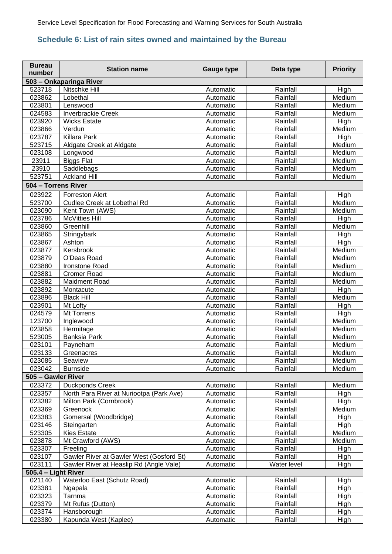# <span id="page-30-0"></span>**Schedule 6: List of rain sites owned and maintained by the Bureau**

| <b>Bureau</b><br>number | <b>Station name</b>                      | <b>Gauge type</b> | Data type   | <b>Priority</b> |
|-------------------------|------------------------------------------|-------------------|-------------|-----------------|
|                         | 503 - Onkaparinga River                  |                   |             |                 |
| 523718                  | Nitschke Hill                            | Automatic         | Rainfall    | High            |
| 023862                  | Lobethal                                 | Automatic         | Rainfall    | Medium          |
| 023801                  | Lenswood                                 | Automatic         | Rainfall    | Medium          |
| 024583                  | <b>Inverbrackie Creek</b>                | Automatic         | Rainfall    | Medium          |
| 023920                  | <b>Wicks Estate</b>                      | Automatic         | Rainfall    | High            |
| 023866                  | Verdun                                   | Automatic         | Rainfall    | Medium          |
| 023787                  | Killara Park                             | Automatic         | Rainfall    | High            |
| 523715                  | Aldgate Creek at Aldgate                 | Automatic         | Rainfall    | Medium          |
| 023108                  | Longwood                                 | Automatic         | Rainfall    | Medium          |
| 23911                   | <b>Biggs Flat</b>                        | Automatic         | Rainfall    | Medium          |
| 23910                   | Saddlebags                               | Automatic         | Rainfall    | Medium          |
| 523751                  | <b>Ackland Hill</b>                      | Automatic         | Rainfall    | Medium          |
| 504 - Torrens River     |                                          |                   |             |                 |
| 023922                  | <b>Forreston Alert</b>                   | Automatic         | Rainfall    | <b>High</b>     |
| 523700                  | Cudlee Creek at Lobethal Rd              | Automatic         | Rainfall    | Medium          |
| 023090                  | Kent Town (AWS)                          | Automatic         | Rainfall    | Medium          |
| 023786                  | <b>McVitties Hill</b>                    | Automatic         | Rainfall    | High            |
| 023860                  | Greenhill                                | Automatic         | Rainfall    | Medium          |
| 023865                  | Stringybark                              | Automatic         | Rainfall    | High            |
| 023867                  | Ashton                                   | Automatic         | Rainfall    | High            |
| 023877                  | Kersbrook                                | Automatic         | Rainfall    | Medium          |
| 023879                  | O'Deas Road                              | Automatic         | Rainfall    | Medium          |
| 023880                  | Ironstone Road                           | Automatic         | Rainfall    | Medium          |
| 023881                  | <b>Cromer Road</b>                       | Automatic         | Rainfall    | Medium          |
| 023882                  | Maidment Road                            | Automatic         | Rainfall    | Medium          |
| 023892                  | Montacute                                | Automatic         | Rainfall    | High            |
| 023896                  | <b>Black Hill</b>                        | Automatic         | Rainfall    | Medium          |
| 023901                  | Mt Lofty                                 | Automatic         | Rainfall    | High            |
| 024579                  | Mt Torrens                               | Automatic         | Rainfall    | High            |
| 123700                  | Inglewood                                | Automatic         | Rainfall    | Medium          |
| 023858                  | Hermitage                                | Automatic         | Rainfall    | Medium          |
| 523005                  | <b>Banksia Park</b>                      | Automatic         | Rainfall    | Medium          |
| 023101                  | Payneham                                 | Automatic         | Rainfall    | Medium          |
| 023133                  | Greenacres                               | Automatic         | Rainfall    | Medium          |
| 023085                  | Seaview                                  | Automatic         | Rainfall    | Medium          |
| 023042                  | <b>Burnside</b>                          | Automatic         | Rainfall    | Medium          |
| 505 - Gawler River      |                                          |                   |             |                 |
| 023372                  | <b>Duckponds Creek</b>                   | Automatic         | Rainfall    | Medium          |
| 023357                  | North Para River at Nuriootpa (Park Ave) | Automatic         | Rainfall    | High            |
| 023382                  | Milton Park (Cornbrook)                  | Automatic         | Rainfall    | High            |
| 023369                  | Greenock                                 | Automatic         | Rainfall    | Medium          |
| 023383                  | Gomersal (Woodbridge)                    | Automatic         | Rainfall    | High            |
| 023146                  | Steingarten                              | Automatic         | Rainfall    | High            |
| 523305                  | <b>Kies Estate</b>                       | Automatic         | Rainfall    | Medium          |
| 023878                  | Mt Crawford (AWS)                        | Automatic         | Rainfall    | Medium          |
| 523307                  | Freeling                                 | Automatic         | Rainfall    | High            |
| 023107                  | Gawler River at Gawler West (Gosford St) | Automatic         | Rainfall    | High            |
| 023111                  | Gawler River at Heaslip Rd (Angle Vale)  | Automatic         | Water level | High            |
| 505.4 - Light River     |                                          |                   |             |                 |
| 021140                  | Waterloo East (Schutz Road)              | Automatic         | Rainfall    | High            |
| 023381                  | Ngapala                                  | Automatic         | Rainfall    | High            |
| 023323                  | Tarnma                                   | Automatic         | Rainfall    | High            |
| 023379                  | Mt Rufus (Dutton)                        | Automatic         | Rainfall    | High            |
| 023374                  | Hansborough                              | Automatic         | Rainfall    | High            |
| 023380                  | Kapunda West (Kaplee)                    | Automatic         | Rainfall    | High            |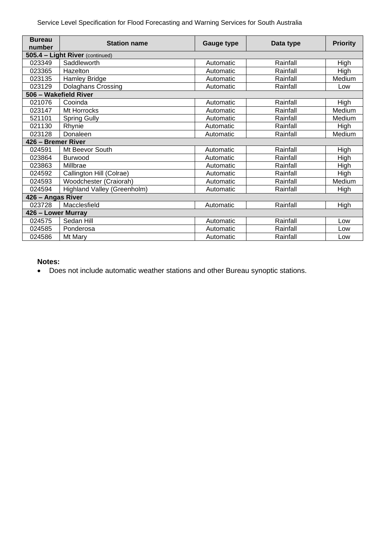| <b>Bureau</b>      | <b>Station name</b>             | <b>Gauge type</b> | Data type | <b>Priority</b> |  |  |
|--------------------|---------------------------------|-------------------|-----------|-----------------|--|--|
| number             |                                 |                   |           |                 |  |  |
|                    | 505.4 - Light River (continued) |                   |           |                 |  |  |
| 023349             | Saddleworth                     | Automatic         | Rainfall  | High            |  |  |
| 023365             | Hazelton                        | Automatic         | Rainfall  | High            |  |  |
| 023135             | <b>Hamley Bridge</b>            | Automatic         | Rainfall  | Medium          |  |  |
| 023129             | <b>Dolaghans Crossing</b>       | Automatic         | Rainfall  | Low             |  |  |
|                    | 506 - Wakefield River           |                   |           |                 |  |  |
| 021076             | Cooinda                         | Automatic         | Rainfall  | High            |  |  |
| 023147             | Mt Horrocks                     | Automatic         | Rainfall  | Medium          |  |  |
| 521101             | <b>Spring Gully</b>             | Automatic         | Rainfall  | Medium          |  |  |
| 021130             | Rhynie                          | Automatic         | Rainfall  | High            |  |  |
| 023128             | Donaleen                        | Automatic         | Rainfall  | Medium          |  |  |
| 426 - Bremer River |                                 |                   |           |                 |  |  |
| 024591             | Mt Beevor South                 | Automatic         | Rainfall  | High            |  |  |
| 023864             | Burwood                         | Automatic         | Rainfall  | High            |  |  |
| 023863             | Millbrae                        | Automatic         | Rainfall  | High            |  |  |
| 024592             | Callington Hill (Colrae)        | Automatic         | Rainfall  | High            |  |  |
| 024593             | Woodchester (Craiorah)          | Automatic         | Rainfall  | Medium          |  |  |
| 024594             | Highland Valley (Greenholm)     | Automatic         | Rainfall  | High            |  |  |
| 426 - Angas River  |                                 |                   |           |                 |  |  |
| 023728             | Macclesfield                    | Automatic         | Rainfall  | High            |  |  |
|                    | 426 - Lower Murray              |                   |           |                 |  |  |
| 024575             | Sedan Hill                      | Automatic         | Rainfall  | Low             |  |  |
| 024585             | Ponderosa                       | Automatic         | Rainfall  | Low             |  |  |
| 024586             | Mt Mary                         | Automatic         | Rainfall  | Low             |  |  |

#### **Notes:**

• Does not include automatic weather stations and other Bureau synoptic stations.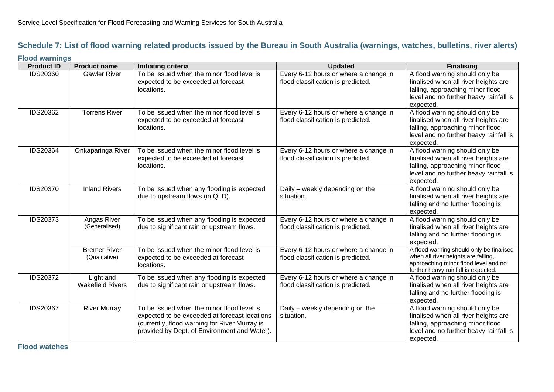# **Schedule 7: List of flood warning related products issued by the Bureau in South Australia (warnings, watches, bulletins, river alerts)**

#### **Flood warnings**

<span id="page-32-0"></span>

| <b>Product ID</b> | <b>Product name</b>                  | Initiating criteria                                                                                                                                                                          | <b>Updated</b>                                                              | <b>Finalising</b>                                                                                                                                                 |
|-------------------|--------------------------------------|----------------------------------------------------------------------------------------------------------------------------------------------------------------------------------------------|-----------------------------------------------------------------------------|-------------------------------------------------------------------------------------------------------------------------------------------------------------------|
| IDS20360          | <b>Gawler River</b>                  | To be issued when the minor flood level is<br>expected to be exceeded at forecast<br>locations.                                                                                              | Every 6-12 hours or where a change in<br>flood classification is predicted. | A flood warning should only be<br>finalised when all river heights are<br>falling, approaching minor flood<br>level and no further heavy rainfall is<br>expected. |
| IDS20362          | <b>Torrens River</b>                 | To be issued when the minor flood level is<br>expected to be exceeded at forecast<br>locations.                                                                                              | Every 6-12 hours or where a change in<br>flood classification is predicted. | A flood warning should only be<br>finalised when all river heights are<br>falling, approaching minor flood<br>level and no further heavy rainfall is<br>expected. |
| IDS20364          | Onkaparinga River                    | To be issued when the minor flood level is<br>expected to be exceeded at forecast<br>locations.                                                                                              | Every 6-12 hours or where a change in<br>flood classification is predicted. | A flood warning should only be<br>finalised when all river heights are<br>falling, approaching minor flood<br>level and no further heavy rainfall is<br>expected. |
| <b>IDS20370</b>   | <b>Inland Rivers</b>                 | To be issued when any flooding is expected<br>due to upstream flows (in QLD).                                                                                                                | Daily - weekly depending on the<br>situation.                               | A flood warning should only be<br>finalised when all river heights are<br>falling and no further flooding is<br>expected.                                         |
| <b>IDS20373</b>   | Angas River<br>(Generalised)         | To be issued when any flooding is expected<br>due to significant rain or upstream flows.                                                                                                     | Every 6-12 hours or where a change in<br>flood classification is predicted. | A flood warning should only be<br>finalised when all river heights are<br>falling and no further flooding is<br>expected.                                         |
|                   | <b>Bremer River</b><br>(Qualitative) | To be issued when the minor flood level is<br>expected to be exceeded at forecast<br>locations.                                                                                              | Every 6-12 hours or where a change in<br>flood classification is predicted. | A flood warning should only be finalised<br>when all river heights are falling,<br>approaching minor flood level and no<br>further heavy rainfall is expected.    |
| <b>IDS20372</b>   | Light and<br><b>Wakefield Rivers</b> | To be issued when any flooding is expected<br>due to significant rain or upstream flows.                                                                                                     | Every 6-12 hours or where a change in<br>flood classification is predicted. | A flood warning should only be<br>finalised when all river heights are<br>falling and no further flooding is<br>expected.                                         |
| <b>IDS20367</b>   | <b>River Murray</b>                  | To be issued when the minor flood level is<br>expected to be exceeded at forecast locations<br>(currently, flood warning for River Murray is<br>provided by Dept. of Environment and Water). | Daily - weekly depending on the<br>situation.                               | A flood warning should only be<br>finalised when all river heights are<br>falling, approaching minor flood<br>level and no further heavy rainfall is<br>expected. |

**Flood watches**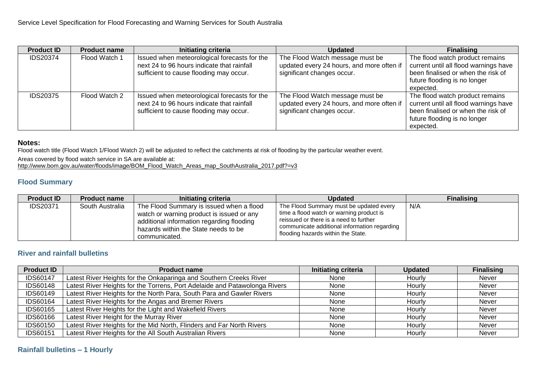| <b>Product ID</b> | <b>Product name</b> | Initiating criteria                                                                        | <b>Updated</b>                                                               | <b>Finalising</b>                                                        |
|-------------------|---------------------|--------------------------------------------------------------------------------------------|------------------------------------------------------------------------------|--------------------------------------------------------------------------|
| <b>IDS20374</b>   | Flood Watch 1       | Issued when meteorological forecasts for the<br>next 24 to 96 hours indicate that rainfall | The Flood Watch message must be<br>updated every 24 hours, and more often if | The flood watch product remains<br>current until all flood warnings have |
|                   |                     | sufficient to cause flooding may occur.                                                    | significant changes occur.                                                   | been finalised or when the risk of<br>future flooding is no longer       |
|                   |                     |                                                                                            |                                                                              | expected.                                                                |
| <b>IDS20375</b>   | Flood Watch 2       | Issued when meteorological forecasts for the<br>next 24 to 96 hours indicate that rainfall | The Flood Watch message must be<br>updated every 24 hours, and more often if | The flood watch product remains<br>current until all flood warnings have |
|                   |                     | sufficient to cause flooding may occur.                                                    | significant changes occur.                                                   | been finalised or when the risk of                                       |
|                   |                     |                                                                                            |                                                                              | future flooding is no longer                                             |
|                   |                     |                                                                                            |                                                                              | expected.                                                                |

#### **Notes:**

Flood watch title (Flood Watch 1/Flood Watch 2) will be adjusted to reflect the catchments at risk of flooding by the particular weather event.

Areas covered by flood watch service in SA are available at:

[http://www.bom.gov.au/water/floods/image/BOM\\_Flood\\_Watch\\_Areas\\_map\\_SouthAustralia\\_2017.pdf?=v3](http://www.bom.gov.au/water/floods/image/BOM_Flood_Watch_Areas_map_SouthAustralia_2017.pdf?=v3)

# **Flood Summary**

| <b>Product ID</b> | <b>Product name</b> | Initiating criteria                                                                                                                                                                         | <b>Updated</b>                                                                                                                                                                                                      | <b>Finalising</b> |
|-------------------|---------------------|---------------------------------------------------------------------------------------------------------------------------------------------------------------------------------------------|---------------------------------------------------------------------------------------------------------------------------------------------------------------------------------------------------------------------|-------------------|
| <b>IDS20371</b>   | South Australia     | The Flood Summary is issued when a flood<br>watch or warning product is issued or any<br>additional information regarding flooding<br>hazards within the State needs to be<br>communicated. | The Flood Summary must be updated every<br>time a flood watch or warning product is<br>reissued or there is a need to further<br>communicate additional information regarding<br>flooding hazards within the State. | N/A               |

# **River and rainfall bulletins**

| <b>Product ID</b> | <b>Product name</b>                                                        | <b>Initiating criteria</b> | <b>Updated</b> | <b>Finalising</b> |
|-------------------|----------------------------------------------------------------------------|----------------------------|----------------|-------------------|
| <b>IDS60147</b>   | Latest River Heights for the Onkaparinga and Southern Creeks River         | None                       | Hourly         | Never             |
| <b>IDS60148</b>   | Latest River Heights for the Torrens, Port Adelaide and Patawolonga Rivers | None                       | Hourly         | Never             |
| <b>IDS60149</b>   | Latest River Heights for the North Para, South Para and Gawler Rivers      | None                       | Hourly         | Never             |
| <b>IDS60164</b>   | Latest River Heights for the Angas and Bremer Rivers                       | None                       | Hourly         | Never             |
| <b>IDS60165</b>   | Latest River Heights for the Light and Wakefield Rivers                    | None                       | Hourly         | Never             |
| <b>IDS60166</b>   | Latest River Height for the Murray River                                   | None                       | Hourly         | Never             |
| <b>IDS60150</b>   | Latest River Heights for the Mid North, Flinders and Far North Rivers      | None                       | Hourly         | Never             |
| <b>IDS60151</b>   | Latest River Heights for the All South Australian Rivers                   | None                       | Hourly         | Never             |

### **Rainfall bulletins – 1 Hourly**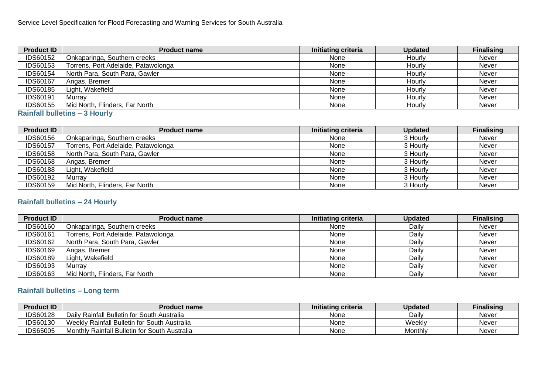| <b>Product ID</b> | <b>Product name</b>                 | <b>Initiating criteria</b> | <b>Updated</b> | <b>Finalising</b> |
|-------------------|-------------------------------------|----------------------------|----------------|-------------------|
| <b>IDS60152</b>   | Onkaparinga, Southern creeks        | None                       | Hourly         | <b>Never</b>      |
| <b>IDS60153</b>   | Torrens, Port Adelaide, Patawolonga | None                       | Hourly         | Never             |
| <b>IDS60154</b>   | North Para, South Para, Gawler      | None                       | Hourly         | Never             |
| <b>IDS60167</b>   | Angas, Bremer                       | None                       | Hourly         | <b>Never</b>      |
| <b>IDS60185</b>   | Light, Wakefield                    | None                       | Hourly         | <b>Never</b>      |
| <b>IDS60191</b>   | Murrav                              | None                       | Hourly         | <b>Never</b>      |
| <b>IDS60155</b>   | Mid North, Flinders, Far North      | None                       | Hourly         | <b>Never</b>      |

#### **Rainfall bulletins – 3 Hourly**

| <b>Product ID</b> | <b>Product name</b>                 | Initiating criteria | <b>Updated</b> | <b>Finalising</b> |
|-------------------|-------------------------------------|---------------------|----------------|-------------------|
| <b>IDS60156</b>   | Onkaparinga, Southern creeks        | None                | 3 Hourly       | <b>Never</b>      |
| IDS60157          | Torrens, Port Adelaide, Patawolonga | None                | 3 Hourly       | <b>Never</b>      |
| <b>IDS60158</b>   | North Para, South Para, Gawler      | None                | 3 Hourly       | <b>Never</b>      |
| <b>IDS60168</b>   | Angas, Bremer                       | None                | 3 Hourly       | <b>Never</b>      |
| <b>IDS60188</b>   | Light, Wakefield                    | None                | 3 Hourly       | <b>Never</b>      |
| <b>IDS60192</b>   | Murrav                              | None                | 3 Hourly       | <b>Never</b>      |
| <b>IDS60159</b>   | Mid North, Flinders, Far North      | None                | 3 Hourly       | Never             |

# **Rainfall bulletins – 24 Hourly**

| <b>Product ID</b> | <b>Product name</b>                 | Initiating criteria | <b>Updated</b> | <b>Finalising</b> |
|-------------------|-------------------------------------|---------------------|----------------|-------------------|
| <b>IDS60160</b>   | Onkaparinga, Southern creeks        | None                | Daily          | <b>Never</b>      |
| <b>IDS60161</b>   | Torrens, Port Adelaide, Patawolonga | None                | Daily          | Never             |
| <b>IDS60162</b>   | North Para, South Para, Gawler      | None                | Daily          | Never             |
| <b>IDS60169</b>   | Angas, Bremer                       | None                | Daily          | <b>Never</b>      |
| <b>IDS60189</b>   | Light, Wakefield                    | None                | Daily          | Never             |
| <b>IDS60193</b>   | Murrav                              | None                | Daily          | Never             |
| <b>IDS60163</b>   | Mid North, Flinders, Far North      | None                | Daily          | Never             |

# **Rainfall bulletins – Long term**

| <b>Product ID</b> | Product name                                  | Initiating criteria | Updated | <b>Finalising</b> |
|-------------------|-----------------------------------------------|---------------------|---------|-------------------|
| <b>IDS60128</b>   | Daily Rainfall Bulletin for South Australia   | None                | Daily   | Never             |
| IDS60130          | Weekly Rainfall Bulletin for South Australia  | None                | Weekly  | Never             |
| <b>IDS65005</b>   | Monthly Rainfall Bulletin for South Australia | None                | Monthly | Never             |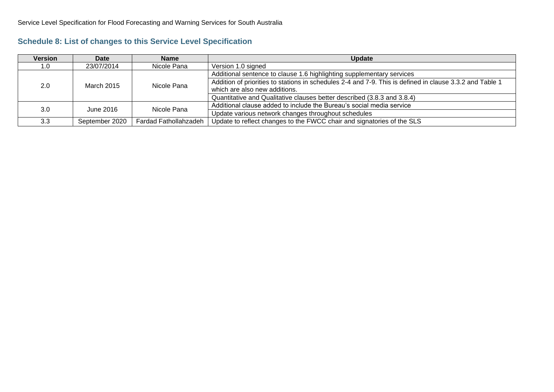<span id="page-35-0"></span>

| <b>Version</b> | <b>Date</b>    | <b>Name</b>           | <b>Update</b>                                                                                            |  |
|----------------|----------------|-----------------------|----------------------------------------------------------------------------------------------------------|--|
| 1.0            | 23/07/2014     | Nicole Pana           | Version 1.0 signed                                                                                       |  |
|                | March 2015     | Nicole Pana           | Additional sentence to clause 1.6 highlighting supplementary services                                    |  |
| 2.0            |                |                       | Addition of priorities to stations in schedules 2-4 and 7-9. This is defined in clause 3.3.2 and Table 1 |  |
|                |                |                       | which are also new additions.                                                                            |  |
|                |                |                       | Quantitative and Qualitative clauses better described (3.8.3 and 3.8.4)                                  |  |
| 3.0            | June 2016      | Nicole Pana           | Additional clause added to include the Bureau's social media service                                     |  |
|                |                |                       | Update various network changes throughout schedules                                                      |  |
| 3.3            | September 2020 | Fardad Fathollahzadeh | Update to reflect changes to the FWCC chair and signatories of the SLS                                   |  |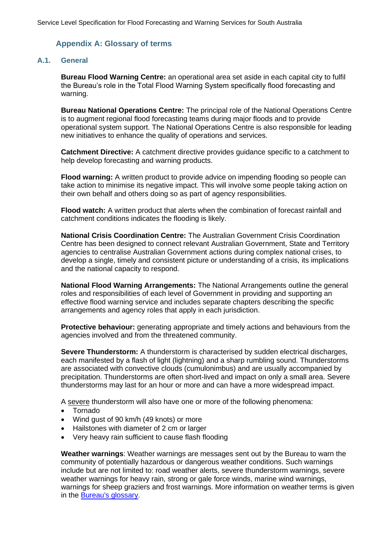# <span id="page-36-0"></span>**Appendix A: Glossary of terms**

#### **A.1. General**

**Bureau Flood Warning Centre:** an operational area set aside in each capital city to fulfil the Bureau's role in the Total Flood Warning System specifically flood forecasting and warning.

**Bureau National Operations Centre:** The principal role of the National Operations Centre is to augment regional flood forecasting teams during major floods and to provide operational system support. The National Operations Centre is also responsible for leading new initiatives to enhance the quality of operations and services.

**Catchment Directive:** A catchment directive provides guidance specific to a catchment to help develop forecasting and warning products.

**Flood warning:** A written product to provide advice on impending flooding so people can take action to minimise its negative impact. This will involve some people taking action on their own behalf and others doing so as part of agency responsibilities.

**Flood watch:** A written product that alerts when the combination of forecast rainfall and catchment conditions indicates the flooding is likely.

**National Crisis Coordination Centre:** The Australian Government Crisis Coordination Centre has been designed to connect relevant Australian Government, State and Territory agencies to centralise Australian Government actions during complex national crises, to develop a single, timely and consistent picture or understanding of a crisis, its implications and the national capacity to respond.

**National Flood Warning Arrangements:** The National Arrangements outline the general roles and responsibilities of each level of Government in providing and supporting an effective flood warning service and includes separate chapters describing the specific arrangements and agency roles that apply in each jurisdiction.

**Protective behaviour:** generating appropriate and timely actions and behaviours from the agencies involved and from the threatened community.

**Severe Thunderstorm:** A thunderstorm is characterised by sudden electrical discharges, each manifested by a flash of light (lightning) and a sharp rumbling sound. Thunderstorms are associated with convective clouds (cumulonimbus) and are usually accompanied by precipitation. Thunderstorms are often short-lived and impact on only a small area. Severe thunderstorms may last for an hour or more and can have a more widespread impact.

A severe thunderstorm will also have one or more of the following phenomena:

- Tornado
- Wind gust of 90 km/h (49 knots) or more
- Hailstones with diameter of 2 cm or larger
- Very heavy rain sufficient to cause flash flooding

**Weather warnings**: Weather warnings are messages sent out by the Bureau to warn the community of potentially hazardous or dangerous weather conditions. Such warnings include but are not limited to: road weather alerts, severe thunderstorm warnings, severe weather warnings for heavy rain, strong or gale force winds, marine wind warnings, warnings for sheep graziers and frost warnings. More information on weather terms is given in the [Bureau's glossary](http://www.bom.gov.au/lam/glossary).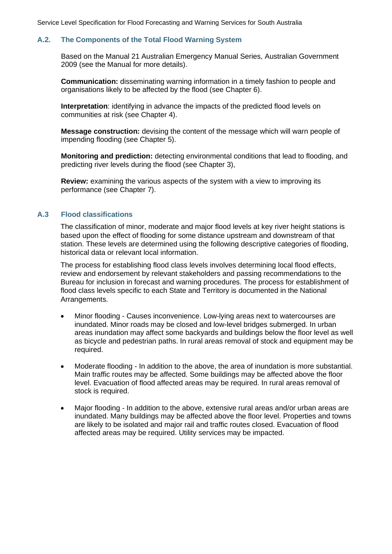#### **A.2. The Components of the Total Flood Warning System**

Based on the Manual 21 Australian Emergency Manual Series, Australian Government 2009 (see the Manual for more details).

**Communication:** disseminating warning information in a timely fashion to people and organisations likely to be affected by the flood (see Chapter 6).

**Interpretation**: identifying in advance the impacts of the predicted flood levels on communities at risk (see Chapter 4).

**Message construction:** devising the content of the message which will warn people of impending flooding (see Chapter 5).

**Monitoring and prediction:** detecting environmental conditions that lead to flooding, and predicting river levels during the flood (see Chapter 3),

**Review:** examining the various aspects of the system with a view to improving its performance (see Chapter 7).

#### **A.3 Flood classifications**

The classification of minor, moderate and major flood levels at key river height stations is based upon the effect of flooding for some distance upstream and downstream of that station. These levels are determined using the following descriptive categories of flooding, historical data or relevant local information.

The process for establishing flood class levels involves determining local flood effects, review and endorsement by relevant stakeholders and passing recommendations to the Bureau for inclusion in forecast and warning procedures. The process for establishment of flood class levels specific to each State and Territory is documented in the National Arrangements.

- Minor flooding Causes inconvenience. Low-lying areas next to watercourses are inundated. Minor roads may be closed and low-level bridges submerged. In urban areas inundation may affect some backyards and buildings below the floor level as well as bicycle and pedestrian paths. In rural areas removal of stock and equipment may be required.
- Moderate flooding In addition to the above, the area of inundation is more substantial. Main traffic routes may be affected. Some buildings may be affected above the floor level. Evacuation of flood affected areas may be required. In rural areas removal of stock is required.
- Major flooding In addition to the above, extensive rural areas and/or urban areas are inundated. Many buildings may be affected above the floor level. Properties and towns are likely to be isolated and major rail and traffic routes closed. Evacuation of flood affected areas may be required. Utility services may be impacted.